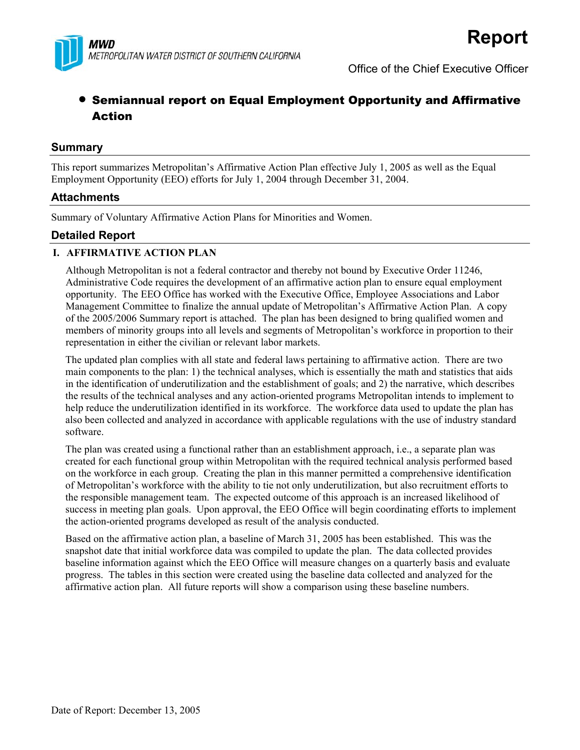

Office of the Chief Executive Officer

# • Semiannual report on Equal Employment Opportunity and Affirmative Action

### **Summary**

This report summarizes Metropolitan's Affirmative Action Plan effective July 1, 2005 as well as the Equal Employment Opportunity (EEO) efforts for July 1, 2004 through December 31, 2004.

### **Attachments**

Summary of Voluntary Affirmative Action Plans for Minorities and Women.

### **Detailed Report**

### **I. AFFIRMATIVE ACTION PLAN**

Although Metropolitan is not a federal contractor and thereby not bound by Executive Order 11246, Administrative Code requires the development of an affirmative action plan to ensure equal employment opportunity. The EEO Office has worked with the Executive Office, Employee Associations and Labor Management Committee to finalize the annual update of Metropolitan's Affirmative Action Plan. A copy of the 2005/2006 Summary report is attached. The plan has been designed to bring qualified women and members of minority groups into all levels and segments of Metropolitan's workforce in proportion to their representation in either the civilian or relevant labor markets.

The updated plan complies with all state and federal laws pertaining to affirmative action. There are two main components to the plan: 1) the technical analyses, which is essentially the math and statistics that aids in the identification of underutilization and the establishment of goals; and 2) the narrative, which describes the results of the technical analyses and any action-oriented programs Metropolitan intends to implement to help reduce the underutilization identified in its workforce. The workforce data used to update the plan has also been collected and analyzed in accordance with applicable regulations with the use of industry standard software.

The plan was created using a functional rather than an establishment approach, i.e., a separate plan was created for each functional group within Metropolitan with the required technical analysis performed based on the workforce in each group. Creating the plan in this manner permitted a comprehensive identification of Metropolitan's workforce with the ability to tie not only underutilization, but also recruitment efforts to the responsible management team. The expected outcome of this approach is an increased likelihood of success in meeting plan goals. Upon approval, the EEO Office will begin coordinating efforts to implement the action-oriented programs developed as result of the analysis conducted.

Based on the affirmative action plan, a baseline of March 31, 2005 has been established. This was the snapshot date that initial workforce data was compiled to update the plan. The data collected provides baseline information against which the EEO Office will measure changes on a quarterly basis and evaluate progress. The tables in this section were created using the baseline data collected and analyzed for the affirmative action plan. All future reports will show a comparison using these baseline numbers.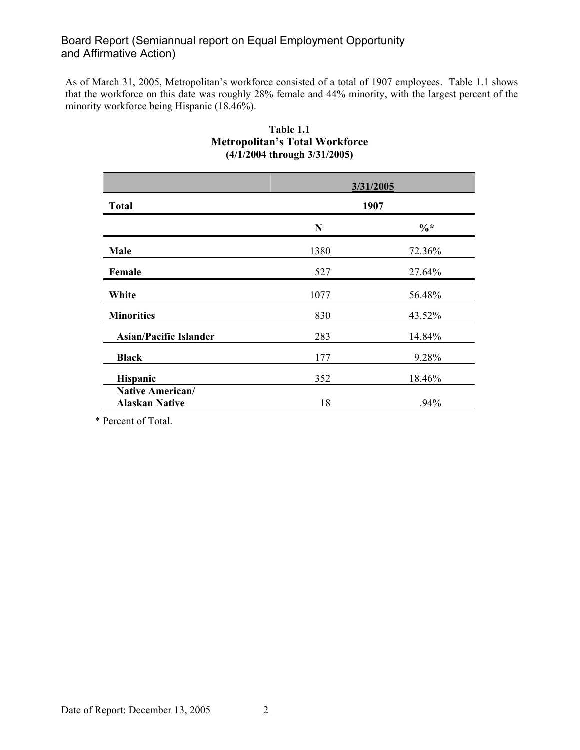As of March 31, 2005, Metropolitan's workforce consisted of a total of 1907 employees. Table 1.1 shows that the workforce on this date was roughly 28% female and 44% minority, with the largest percent of the minority workforce being Hispanic (18.46%).

| <b>Total</b>                                     |      | 3/31/2005<br>1907 |
|--------------------------------------------------|------|-------------------|
|                                                  | N    | $\%*$             |
| Male                                             | 1380 | 72.36%            |
| Female                                           | 527  | 27.64%            |
| White                                            | 1077 | 56.48%            |
| <b>Minorities</b>                                | 830  | 43.52%            |
| <b>Asian/Pacific Islander</b>                    | 283  | 14.84%            |
| <b>Black</b>                                     | 177  | 9.28%             |
| Hispanic                                         | 352  | 18.46%            |
| <b>Native American/</b><br><b>Alaskan Native</b> | 18   | .94%              |

### **Table 1.1 Metropolitan's Total Workforce (4/1/2004 through 3/31/2005)**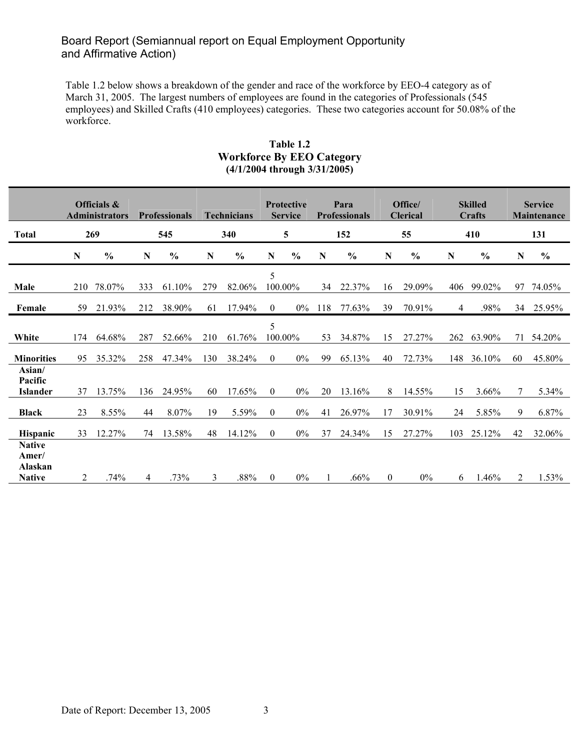Table 1.2 below shows a breakdown of the gender and race of the workforce by EEO-4 category as of March 31, 2005. The largest numbers of employees are found in the categories of Professionals (545 employees) and Skilled Crafts (410 employees) categories. These two categories account for 50.08% of the workforce.

#### **Table 1.2 Workforce By EEO Category (4/1/2004 through 3/31/2005)**

|                                                    | Officials &<br><b>Administrators</b><br><b>Professionals</b> |               |           | Technicians   |     | <b>Protective</b><br>Para<br><b>Service</b><br><b>Professionals</b> |              | Office/<br><b>Clerical</b> |             | <b>Skilled</b><br>Crafts |              | <b>Service</b><br>Maintenance |     |               |             |               |
|----------------------------------------------------|--------------------------------------------------------------|---------------|-----------|---------------|-----|---------------------------------------------------------------------|--------------|----------------------------|-------------|--------------------------|--------------|-------------------------------|-----|---------------|-------------|---------------|
| <b>Total</b>                                       |                                                              | 269           |           | 545           |     | 340                                                                 |              | 5                          |             | 152                      |              | 55                            |     | 410           |             | 131           |
|                                                    | N                                                            | $\frac{0}{0}$ | ${\bf N}$ | $\frac{0}{0}$ | N   | $\frac{0}{0}$                                                       | $\mathbf N$  | $\frac{0}{0}$              | $\mathbf N$ | $\frac{0}{0}$            | N            | $\frac{0}{0}$                 | N   | $\frac{0}{0}$ | $\mathbf N$ | $\frac{0}{0}$ |
| Male                                               | 210                                                          | 78.07%        | 333       | 61.10%        | 279 | 82.06%                                                              | 5            | 100.00%                    | 34          | 22.37%                   | 16           | 29.09%                        | 406 | 99.02%        | 97          | 74.05%        |
| Female                                             | 59                                                           | 21.93%        | 212       | 38.90%        | 61  | 17.94%                                                              | $\theta$     | $0\%$                      | 118         | 77.63%                   | 39           | 70.91%                        | 4   | .98%          | 34          | 25.95%        |
| White                                              | 174                                                          | 64.68%        | 287       | 52.66%        | 210 | 61.76%                                                              | 5            | 100.00%                    | 53          | 34.87%                   | 15           | 27.27%                        | 262 | 63.90%        | 71          | 54.20%        |
| <b>Minorities</b>                                  | 95                                                           | 35.32%        | 258       | 47.34%        | 130 | 38.24%                                                              | $\theta$     | $0\%$                      | 99          | 65.13%                   | 40           | 72.73%                        | 148 | 36.10%        | 60          | 45.80%        |
| Asian/<br>Pacific<br><b>Islander</b>               | 37                                                           | 13.75%        | 136       | 24.95%        | 60  | 17.65%                                                              | $\mathbf{0}$ | $0\%$                      | 20          | 13.16%                   | 8            | 14.55%                        | 15  | 3.66%         | 7           | 5.34%         |
| <b>Black</b>                                       | 23                                                           | 8.55%         | 44        | 8.07%         | 19  | 5.59%                                                               | $\mathbf{0}$ | $0\%$                      | 41          | 26.97%                   | 17           | 30.91%                        | 24  | 5.85%         | 9           | 6.87%         |
| <b>Hispanic</b>                                    | 33                                                           | 12.27%        | 74        | 13.58%        | 48  | 14.12%                                                              | $\mathbf{0}$ | $0\%$                      | 37          | 24.34%                   | 15           | 27.27%                        | 103 | 25.12%        | 42          | 32.06%        |
| <b>Native</b><br>Amer/<br>Alaskan<br><b>Native</b> | 2                                                            | .74%          | 4         | .73%          | 3   | .88%                                                                | $\mathbf{0}$ | $0\%$                      |             | .66%                     | $\mathbf{0}$ | $0\%$                         | 6   | 1.46%         | 2           | 1.53%         |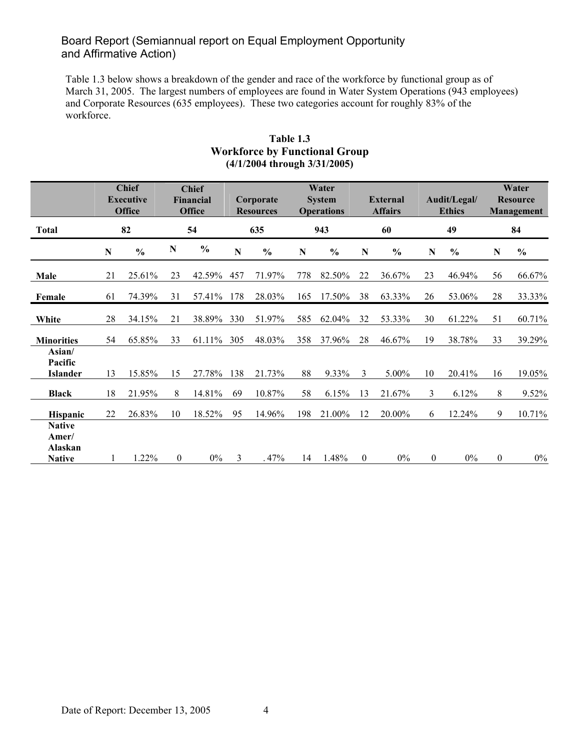Table 1.3 below shows a breakdown of the gender and race of the workforce by functional group as of March 31, 2005. The largest numbers of employees are found in Water System Operations (943 employees) and Corporate Resources (635 employees). These two categories account for roughly 83% of the workforce.

|                                      |             | <b>Chief</b><br><b>Chief</b><br><b>Executive</b><br><b>Financial</b><br><b>Office</b><br><b>Office</b> |                |               |     | Corporate<br><b>Resources</b> |     | Water<br><b>System</b><br><b>Operations</b> | <b>External</b><br><b>Affairs</b> |               |                  | Audit/Legal/<br><b>Ethics</b> | Water<br><b>Resource</b><br>Management |                |  |
|--------------------------------------|-------------|--------------------------------------------------------------------------------------------------------|----------------|---------------|-----|-------------------------------|-----|---------------------------------------------|-----------------------------------|---------------|------------------|-------------------------------|----------------------------------------|----------------|--|
| <b>Total</b>                         |             | 82                                                                                                     |                | 54            | 635 |                               |     | 943                                         |                                   | 60            |                  | 49                            |                                        | 84             |  |
|                                      | $\mathbf N$ | $\frac{0}{0}$                                                                                          | $\mathbf N$    | $\frac{0}{0}$ | N   | $\frac{0}{0}$                 | N   | $\frac{6}{9}$                               | N                                 | $\frac{0}{0}$ | N                | $\frac{6}{6}$                 | N                                      | $\frac{6}{10}$ |  |
| Male                                 | 21          | 25.61%                                                                                                 | 23             | 42.59%        | 457 | 71.97%                        | 778 | 82.50%                                      | 22                                | 36.67%        | 23               | 46.94%                        | 56                                     | 66.67%         |  |
| Female                               | 61          | 74.39%                                                                                                 | 31             | 57.41%        | 178 | 28.03%                        | 165 | 17.50%                                      | 38                                | 63.33%        | 26               | 53.06%                        | 28                                     | 33.33%         |  |
| White                                | 28          | 34.15%                                                                                                 | 21             | 38.89%        | 330 | 51.97%                        | 585 | 62.04%                                      | 32                                | 53.33%        | 30               | 61.22%                        | 51                                     | 60.71%         |  |
| <b>Minorities</b>                    | 54          | 65.85%                                                                                                 | 33             | 61.11%        | 305 | 48.03%                        | 358 | 37.96%                                      | 28                                | 46.67%        | 19               | 38.78%                        | 33                                     | 39.29%         |  |
| Asian/<br>Pacific<br><b>Islander</b> | 13          | 15.85%                                                                                                 | 15             | 27.78%        | 138 | 21.73%                        | 88  | 9.33%                                       | 3                                 | 5.00%         | 10               | 20.41%                        | 16                                     | 19.05%         |  |
| <b>Black</b>                         | 18          | 21.95%                                                                                                 | 8              | 14.81%        | 69  | 10.87%                        | 58  | 6.15%                                       | 13                                | 21.67%        | $\mathfrak{Z}$   | 6.12%                         | 8                                      | 9.52%          |  |
| Hispanic<br><b>Native</b>            | 22          | 26.83%                                                                                                 | 10             | 18.52%        | 95  | 14.96%                        | 198 | 21.00%                                      | 12                                | 20.00%        | 6                | 12.24%                        | 9                                      | 10.71%         |  |
| Amer/<br>Alaskan<br><b>Native</b>    |             | 1.22%                                                                                                  | $\overline{0}$ | $0\%$         | 3   | .47%                          | 14  | 1.48%                                       | $\boldsymbol{0}$                  | $0\%$         | $\boldsymbol{0}$ | $0\%$                         | $\boldsymbol{0}$                       | $0\%$          |  |

### **Table 1.3 Workforce by Functional Group (4/1/2004 through 3/31/2005)**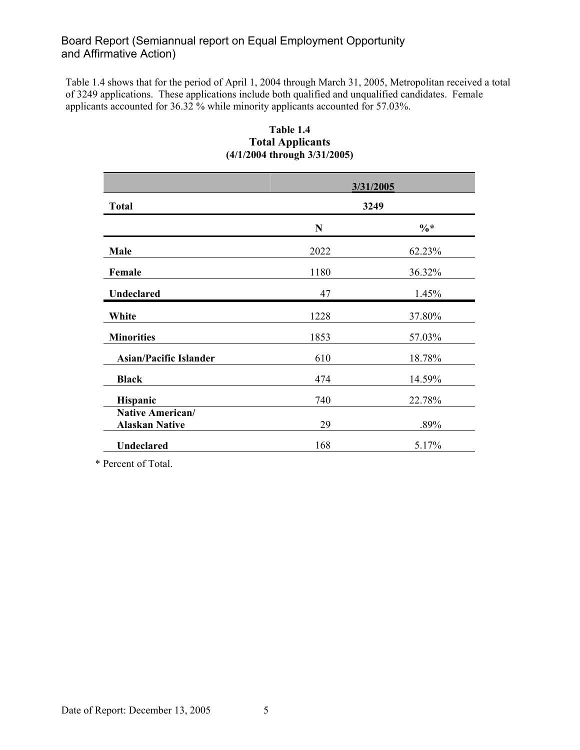Table 1.4 shows that for the period of April 1, 2004 through March 31, 2005, Metropolitan received a total of 3249 applications. These applications include both qualified and unqualified candidates. Female applicants accounted for 36.32 % while minority applicants accounted for 57.03%.

|                                           |             | 3/31/2005       |
|-------------------------------------------|-------------|-----------------|
| <b>Total</b>                              |             | 3249            |
|                                           | $\mathbf N$ | $\frac{0}{6}$ * |
| Male                                      | 2022        | 62.23%          |
| Female                                    | 1180        | 36.32%          |
| <b>Undeclared</b>                         | 47          | 1.45%           |
| White                                     | 1228        | 37.80%          |
| <b>Minorities</b>                         | 1853        | 57.03%          |
| <b>Asian/Pacific Islander</b>             | 610         | 18.78%          |
| <b>Black</b>                              | 474         | 14.59%          |
| <b>Hispanic</b>                           | 740         | 22.78%          |
| Native American/<br><b>Alaskan Native</b> | 29          | .89%            |
| Undeclared                                | 168         | 5.17%           |

### **Table 1.4 Total Applicants (4/1/2004 through 3/31/2005)**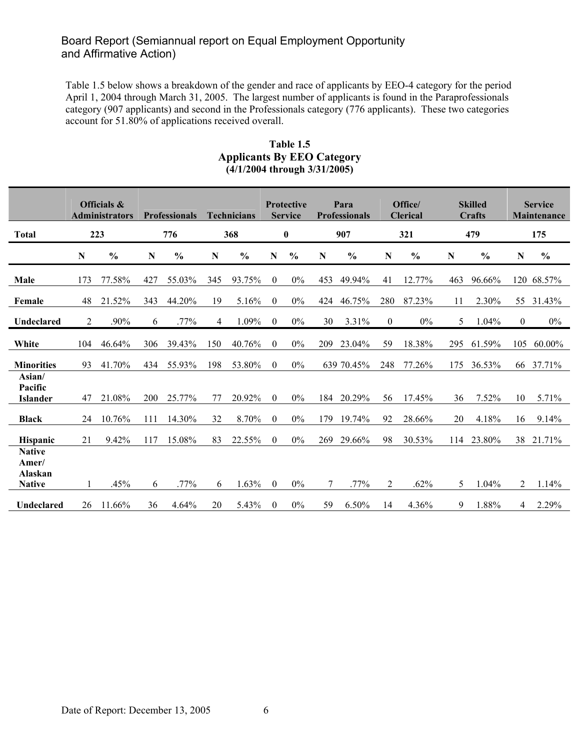Table 1.5 below shows a breakdown of the gender and race of applicants by EEO-4 category for the period April 1, 2004 through March 31, 2005. The largest number of applicants is found in the Paraprofessionals category (907 applicants) and second in the Professionals category (776 applicants). These two categories account for 51.80% of applications received overall.

|                                                    |             | Officials &<br><b>Administrators</b> |             | <b>Professionals</b> |           | <b>Technicians</b> |              | <b>Protective</b><br><b>Service</b> |     | Para<br><b>Professionals</b> |              | Office/<br><b>Clerical</b> |     | <b>Skilled</b><br>Crafts |             | <b>Service</b><br><b>Maintenance</b> |
|----------------------------------------------------|-------------|--------------------------------------|-------------|----------------------|-----------|--------------------|--------------|-------------------------------------|-----|------------------------------|--------------|----------------------------|-----|--------------------------|-------------|--------------------------------------|
| <b>Total</b>                                       |             | 223                                  |             | 776                  |           | 368                |              | $\boldsymbol{0}$                    |     | 907                          |              | 321                        |     | 479                      |             | 175                                  |
|                                                    | $\mathbf N$ | $\frac{0}{0}$                        | $\mathbf N$ | $\frac{0}{0}$        | ${\bf N}$ | $\frac{0}{0}$      | N            | $\frac{0}{0}$                       | N   | $\frac{0}{0}$                | N            | $\frac{0}{0}$              | N   | $\frac{0}{0}$            | $\mathbf N$ | $\frac{0}{0}$                        |
| Male                                               | 173         | 77.58%                               | 427         | 55.03%               | 345       | 93.75%             | $\mathbf{0}$ | $0\%$                               | 453 | 49.94%                       | 41           | 12.77%                     | 463 | 96.66%                   |             | 120 68.57%                           |
| Female                                             | 48          | 21.52%                               | 343         | 44.20%               | 19        | 5.16%              | $\mathbf{0}$ | $0\%$                               | 424 | 46.75%                       | 280          | 87.23%                     | 11  | 2.30%                    | 55          | 31.43%                               |
| Undeclared                                         | 2           | .90%                                 | 6           | .77%                 | 4         | 1.09%              | $\theta$     | 0%                                  | 30  | 3.31%                        | $\mathbf{0}$ | 0%                         | 5   | 1.04%                    | $\theta$    | $0\%$                                |
| White                                              | 104         | 46.64%                               | 306         | 39.43%               | 150       | 40.76%             | $\mathbf{0}$ | 0%                                  | 209 | 23.04%                       | 59           | 18.38%                     | 295 | 61.59%                   | 105         | 60.00%                               |
| <b>Minorities</b>                                  | 93          | 41.70%                               | 434         | 55.93%               | 198       | 53.80%             | $\theta$     | $0\%$                               |     | 639 70.45%                   | 248          | 77.26%                     | 175 | 36.53%                   | 66          | 37.71%                               |
| Asian/<br>Pacific<br><b>Islander</b>               | 47          | 21.08%                               | 200         | 25.77%               | 77        | 20.92%             | $\mathbf{0}$ | $0\%$                               | 184 | 20.29%                       | 56           | 17.45%                     | 36  | 7.52%                    | 10          | 5.71%                                |
| <b>Black</b>                                       | 24          | 10.76%                               | 111         | 14.30%               | 32        | 8.70%              | $\mathbf{0}$ | $0\%$                               | 179 | 19.74%                       | 92           | 28.66%                     | 20  | 4.18%                    | 16          | 9.14%                                |
| <b>Hispanic</b>                                    | 21          | 9.42%                                | 117         | 15.08%               | 83        | 22.55%             | $\theta$     | $0\%$                               | 269 | 29.66%                       | 98           | 30.53%                     | 114 | 23.80%                   | 38          | 21.71%                               |
| <b>Native</b><br>Amer/<br>Alaskan<br><b>Native</b> | 1           | .45%                                 | 6           | .77%                 | 6         | 1.63%              | $\mathbf{0}$ | $0\%$                               | 7   | .77%                         | 2            | .62%                       | 5   | 1.04%                    | 2           | 1.14%                                |
| Undeclared                                         | 26          | 11.66%                               | 36          | 4.64%                | 20        | 5.43%              | $\theta$     | $0\%$                               | 59  | 6.50%                        | 14           | 4.36%                      | 9   | 1.88%                    | 4           | 2.29%                                |

#### **Table 1.5 Applicants By EEO Category (4/1/2004 through 3/31/2005)**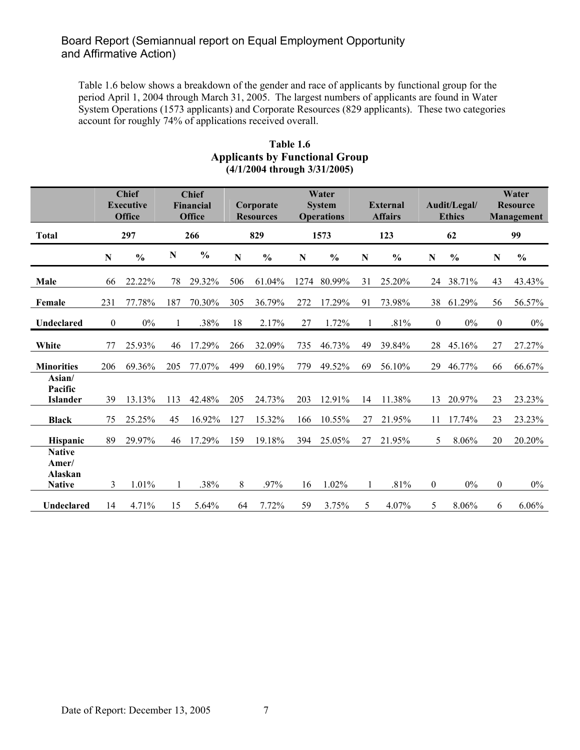Table 1.6 below shows a breakdown of the gender and race of applicants by functional group for the period April 1, 2004 through March 31, 2005. The largest numbers of applicants are found in Water System Operations (1573 applicants) and Corporate Resources (829 applicants). These two categories account for roughly 74% of applications received overall.

|                                                    |                  | <b>Chief</b><br><b>Chief</b><br><b>Executive</b><br><b>Financial</b><br><b>Office</b><br><b>Office</b> |     | Water<br><b>System</b><br>Corporate<br><b>Operations</b><br><b>Resources</b> |           |               |           |               | <b>External</b><br><b>Affairs</b> | Audit/Legal/<br><b>Ethics</b> |                  | Water<br><b>Resource</b><br>Management |                  |               |
|----------------------------------------------------|------------------|--------------------------------------------------------------------------------------------------------|-----|------------------------------------------------------------------------------|-----------|---------------|-----------|---------------|-----------------------------------|-------------------------------|------------------|----------------------------------------|------------------|---------------|
| <b>Total</b>                                       |                  | 297                                                                                                    |     | 266                                                                          |           | 829           |           | 1573          |                                   | 123                           |                  | 62                                     |                  | 99            |
|                                                    | ${\bf N}$        | $\frac{0}{0}$                                                                                          | N   | $\frac{0}{0}$                                                                | ${\bf N}$ | $\frac{0}{0}$ | ${\bf N}$ | $\frac{0}{0}$ | ${\bf N}$                         | $\frac{0}{0}$                 | ${\bf N}$        | $\frac{6}{6}$                          | N                | $\frac{0}{0}$ |
| Male                                               | 66               | 22.22%                                                                                                 | 78  | 29.32%                                                                       | 506       | 61.04%        | 1274      | 80.99%        | 31                                | 25.20%                        | 24               | 38.71%                                 | 43               | 43.43%        |
| Female                                             | 231              | 77.78%                                                                                                 | 187 | 70.30%                                                                       | 305       | 36.79%        | 272       | 17.29%        | 91                                | 73.98%                        | 38               | 61.29%                                 | 56               | 56.57%        |
| Undeclared                                         | $\boldsymbol{0}$ | $0\%$                                                                                                  |     | .38%                                                                         | 18        | 2.17%         | 27        | 1.72%         |                                   | .81%                          | $\mathbf{0}$     | $0\%$                                  | $\boldsymbol{0}$ | $0\%$         |
| White                                              | 77               | 25.93%                                                                                                 | 46  | 17.29%                                                                       | 266       | 32.09%        | 735       | 46.73%        | 49                                | 39.84%                        | 28               | 45.16%                                 | 27               | 27.27%        |
| <b>Minorities</b>                                  | 206              | 69.36%                                                                                                 | 205 | 77.07%                                                                       | 499       | 60.19%        | 779       | 49.52%        | 69                                | 56.10%                        | 29               | 46.77%                                 | 66               | 66.67%        |
| Asian/<br>Pacific<br><b>Islander</b>               | 39               | 13.13%                                                                                                 | 113 | 42.48%                                                                       | 205       | 24.73%        | 203       | 12.91%        | 14                                | 11.38%                        | 13               | 20.97%                                 | 23               | 23.23%        |
| <b>Black</b>                                       | 75               | 25.25%                                                                                                 | 45  | 16.92%                                                                       | 127       | 15.32%        | 166       | 10.55%        | 27                                | 21.95%                        | 11               | 17.74%                                 | 23               | 23.23%        |
| <b>Hispanic</b>                                    | 89               | 29.97%                                                                                                 | 46  | 17.29%                                                                       | 159       | 19.18%        | 394       | 25.05%        | 27                                | 21.95%                        | 5                | 8.06%                                  | 20               | 20.20%        |
| <b>Native</b><br>Amer/<br>Alaskan<br><b>Native</b> | 3                | 1.01%                                                                                                  |     | .38%                                                                         | 8         | .97%          | 16        | 1.02%         |                                   | .81%                          | $\boldsymbol{0}$ | $0\%$                                  | $\boldsymbol{0}$ | $0\%$         |
| Undeclared                                         | 14               | 4.71%                                                                                                  | 15  | 5.64%                                                                        | 64        | 7.72%         | 59        | 3.75%         | 5                                 | 4.07%                         | 5                | 8.06%                                  | 6                | 6.06%         |

#### **Table 1.6 Applicants by Functional Group (4/1/2004 through 3/31/2005)**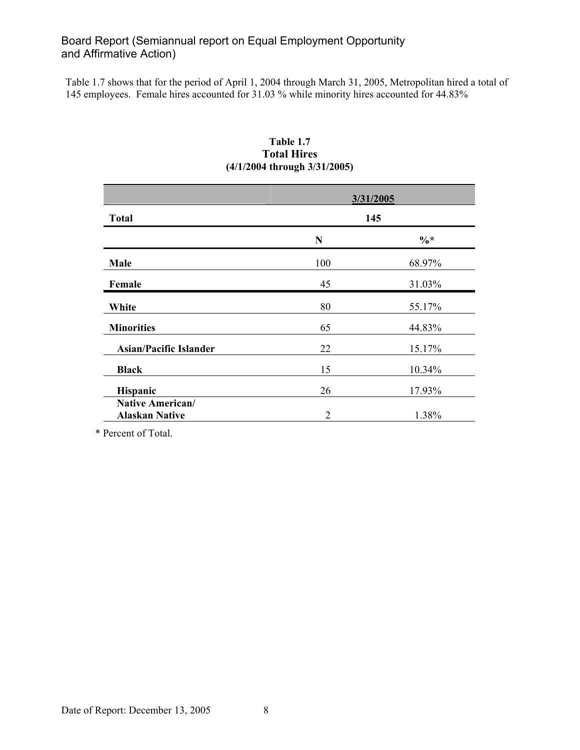Table 1.7 shows that for the period of April 1, 2004 through March 31, 2005, Metropolitan hired a total of 145 employees. Female hires accounted for 31.03 % while minority hires accounted for 44.83%

| <b>Total</b>                              |                | 3/31/2005<br>145 |
|-------------------------------------------|----------------|------------------|
|                                           | $\mathbf N$    | $\frac{0}{6}$ *  |
| Male                                      | 100            | 68.97%           |
| Female                                    | 45             | 31.03%           |
| White                                     | 80             | 55.17%           |
| <b>Minorities</b>                         | 65             | 44.83%           |
| <b>Asian/Pacific Islander</b>             | 22             | 15.17%           |
| <b>Black</b>                              | 15             | 10.34%           |
| Hispanic                                  | 26             | 17.93%           |
| Native American/<br><b>Alaskan Native</b> | $\overline{2}$ | 1.38%            |

### **Table 1.7 Total Hires (4/1/2004 through 3/31/2005)**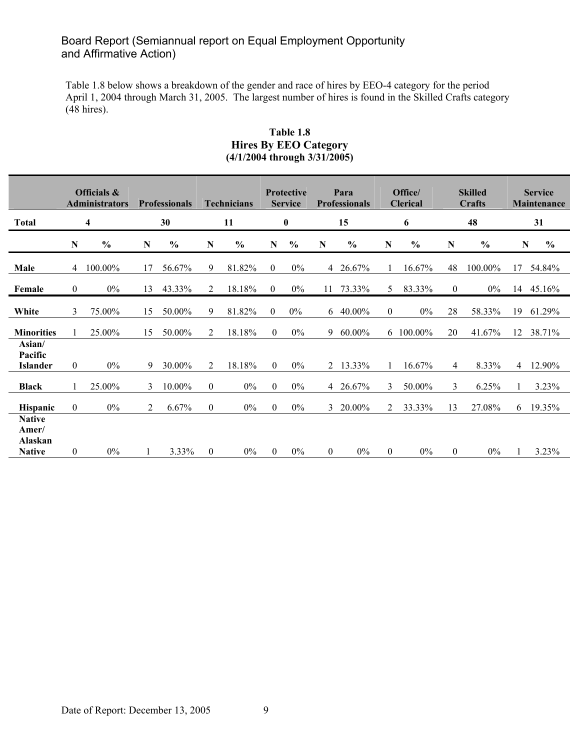Table 1.8 below shows a breakdown of the gender and race of hires by EEO-4 category for the period April 1, 2004 through March 31, 2005. The largest number of hires is found in the Skilled Crafts category (48 hires).

#### **Table 1.8 Hires By EEO Category (4/1/2004 through 3/31/2005)**

|                                                    | Officials &<br><b>Administrators</b> |               | <b>Professionals</b> |               | <b>Technicians</b> |                | <b>Protective</b><br><b>Service</b> |                  |                | Para<br><b>Professionals</b> |                | Office/<br><b>Clerical</b> |                  | <b>Skilled</b><br>Crafts |    | <b>Service</b><br>Maintenance |
|----------------------------------------------------|--------------------------------------|---------------|----------------------|---------------|--------------------|----------------|-------------------------------------|------------------|----------------|------------------------------|----------------|----------------------------|------------------|--------------------------|----|-------------------------------|
| <b>Total</b>                                       |                                      | 4             |                      | 30            |                    | 11             |                                     | $\boldsymbol{0}$ |                | 15                           |                | 6                          |                  | 48                       |    | 31                            |
|                                                    | ${\bf N}$                            | $\frac{0}{0}$ | $\mathbf N$          | $\frac{0}{0}$ | N                  | $\frac{6}{10}$ | ${\bf N}$                           | $\frac{0}{0}$    | ${\bf N}$      | $\frac{0}{0}$                | $\mathbf N$    | $\frac{0}{0}$              | ${\bf N}$        | $\frac{0}{0}$            |    | $\frac{0}{0}$<br>$\mathbf N$  |
| Male                                               | 4                                    | 100.00%       | 17                   | 56.67%        | 9                  | 81.82%         | $\overline{0}$                      | $0\%$            |                | 4 26.67%                     |                | 16.67%                     | 48               | 100.00%                  |    | 17 54.84%                     |
| Female                                             | $\mathbf{0}$                         | $0\%$         | 13                   | 43.33%        | 2                  | 18.18%         | $\overline{0}$                      | $0\%$            |                | 11 73.33%                    | 5 <sup>1</sup> | 83.33%                     | $\boldsymbol{0}$ | $0\%$                    |    | 14 45.16%                     |
| White                                              | 3                                    | 75.00%        | 15                   | 50.00%        | 9                  | 81.82%         | $\overline{0}$                      | $0\%$            |                | $6\quad 40.00\%$             | $\overline{0}$ | $0\%$                      | 28               | 58.33%                   | 19 | 61.29%                        |
| <b>Minorities</b>                                  |                                      | 25.00%        | 15                   | 50.00%        | 2                  | 18.18%         | $\theta$                            | $0\%$            |                | 9 60.00%                     |                | 6 100.00%                  | 20               | 41.67%                   | 12 | 38.71%                        |
| Asian/<br>Pacific<br>Islander                      | $\overline{0}$                       | $0\%$         | 9                    | 30.00%        | 2                  | 18.18%         | $\theta$                            | $0\%$            |                | 2 13.33%                     | 1              | 16.67%                     | 4                | 8.33%                    |    | 4 12.90%                      |
| <b>Black</b>                                       | 1                                    | 25.00%        | 3                    | 10.00%        | $\boldsymbol{0}$   | $0\%$          | $\theta$                            | $0\%$            |                | 4 26.67%                     | 3              | 50.00%                     | 3                | 6.25%                    |    | 3.23%                         |
| <b>Hispanic</b>                                    | $\mathbf{0}$                         | $0\%$         | 2                    | 6.67%         | $\mathbf{0}$       | $0\%$          | $\Omega$                            | $0\%$            |                | 3 20.00%                     | $\overline{2}$ | 33.33%                     | 13               | 27.08%                   | 6  | 19.35%                        |
| <b>Native</b><br>Amer/<br>Alaskan<br><b>Native</b> | $\overline{0}$                       | $0\%$         |                      | 3.33%         | $\overline{0}$     | $0\%$          | $\mathbf{0}$                        | $0\%$            | $\overline{0}$ | $0\%$                        | $\overline{0}$ | $0\%$                      | $\mathbf{0}$     | $0\%$                    |    | 3.23%                         |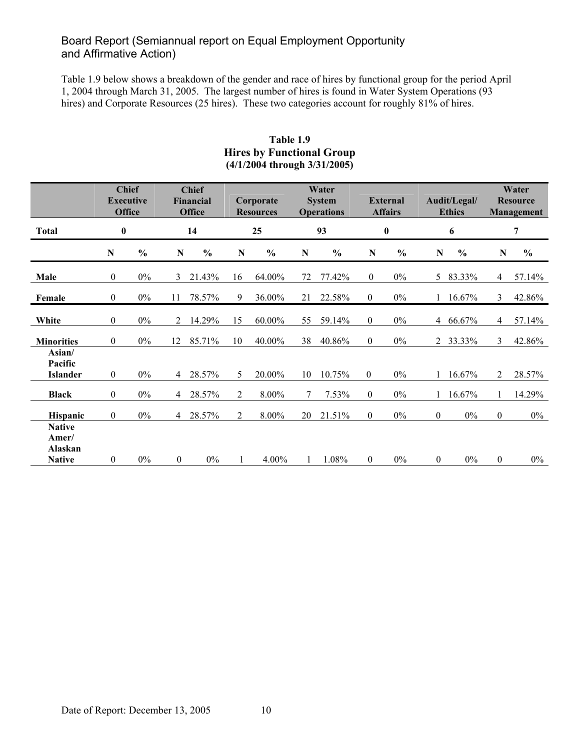Table 1.9 below shows a breakdown of the gender and race of hires by functional group for the period April 1, 2004 through March 31, 2005. The largest number of hires is found in Water System Operations (93 hires) and Corporate Resources (25 hires). These two categories account for roughly 81% of hires.

|                                                    |                  | <b>Chief</b><br><b>Executive</b><br><b>Office</b> |                | <b>Chief</b><br>Corporate<br>Financial<br><b>Office</b><br><b>Resources</b> |                |               |        | Water<br><b>System</b><br><b>Operations</b> |                | <b>External</b><br><b>Affairs</b> |                  | Audit/Legal/<br><b>Ethics</b> | Water<br><b>Resource</b><br>Management |               |  |
|----------------------------------------------------|------------------|---------------------------------------------------|----------------|-----------------------------------------------------------------------------|----------------|---------------|--------|---------------------------------------------|----------------|-----------------------------------|------------------|-------------------------------|----------------------------------------|---------------|--|
| <b>Total</b>                                       | $\bf{0}$         |                                                   |                | 14                                                                          |                | 25            |        | 93                                          |                | $\boldsymbol{0}$                  |                  | 6                             |                                        | 7             |  |
|                                                    | $\mathbf N$      | $\frac{0}{0}$                                     | ${\bf N}$      | $\frac{0}{0}$                                                               | N              | $\frac{0}{0}$ | N      | $\frac{0}{0}$                               | $\mathbf N$    | $\frac{0}{0}$                     | ${\bf N}$        | $\frac{0}{0}$                 | N                                      | $\frac{0}{0}$ |  |
| Male                                               | 0                | $0\%$                                             | 3              | 21.43%                                                                      | 16             | 64.00%        | 72     | 77.42%                                      | $\overline{0}$ | $0\%$                             | 5                | 83.33%                        | 4                                      | 57.14%        |  |
| Female                                             | 0                | $0\%$                                             | 11             | 78.57%                                                                      | 9              | 36.00%        | 21     | 22.58%                                      | $\overline{0}$ | $0\%$                             | $\mathbf{1}$     | 16.67%                        | 3                                      | 42.86%        |  |
| White                                              | $\boldsymbol{0}$ | $0\%$                                             | $\overline{2}$ | 14.29%                                                                      | 15             | 60.00%        | 55     | 59.14%                                      | $\overline{0}$ | $0\%$                             | $\overline{4}$   | 66.67%                        | 4                                      | 57.14%        |  |
| <b>Minorities</b>                                  | $\boldsymbol{0}$ | $0\%$                                             | 12             | 85.71%                                                                      | 10             | 40.00%        | 38     | 40.86%                                      | $\theta$       | $0\%$                             |                  | 2 33.33%                      | 3                                      | 42.86%        |  |
| Asian/<br>Pacific<br><b>Islander</b>               | 0                | $0\%$                                             | $\overline{4}$ | 28.57%                                                                      | 5              | 20.00%        | 10     | 10.75%                                      | $\mathbf{0}$   | $0\%$                             | $\mathbf{1}$     | 16.67%                        | 2                                      | 28.57%        |  |
| <b>Black</b>                                       | $\boldsymbol{0}$ | $0\%$                                             | 4              | 28.57%                                                                      | 2              | 8.00%         | $\tau$ | 7.53%                                       | $\overline{0}$ | $0\%$                             |                  | 16.67%                        |                                        | 14.29%        |  |
| <b>Hispanic</b>                                    | 0                | $0\%$                                             | 4              | 28.57%                                                                      | $\overline{2}$ | 8.00%         | 20     | 21.51%                                      | $\overline{0}$ | $0\%$                             | $\boldsymbol{0}$ | $0\%$                         | $\boldsymbol{0}$                       | $0\%$         |  |
| <b>Native</b><br>Amer/<br>Alaskan<br><b>Native</b> | $\boldsymbol{0}$ | $0\%$                                             | $\mathbf{0}$   | $0\%$                                                                       | 1              | 4.00%         |        | 1.08%                                       | $\mathbf{0}$   | $0\%$                             | $\overline{0}$   | $0\%$                         | $\boldsymbol{0}$                       | $0\%$         |  |

#### **Table 1.9 Hires by Functional Group (4/1/2004 through 3/31/2005)**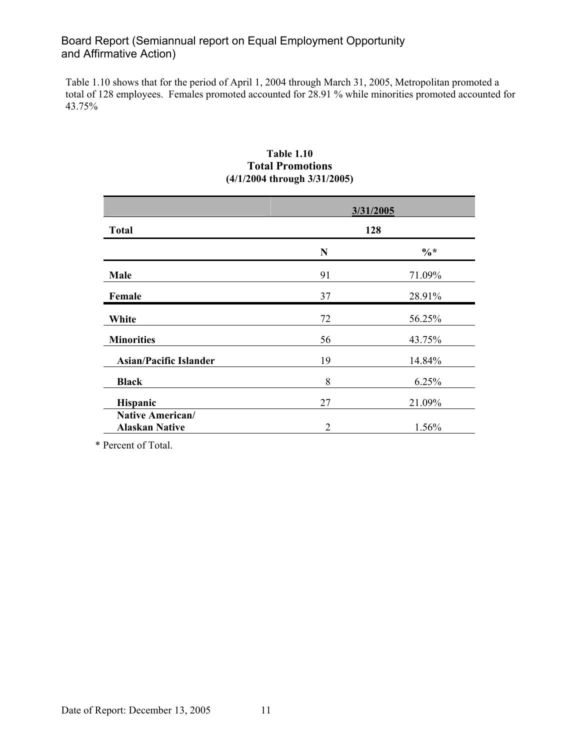Table 1.10 shows that for the period of April 1, 2004 through March 31, 2005, Metropolitan promoted a total of 128 employees. Females promoted accounted for 28.91 % while minorities promoted accounted for 43.75%

|                                                  |                | 3/31/2005       |
|--------------------------------------------------|----------------|-----------------|
| <b>Total</b>                                     |                | 128             |
|                                                  | N              | $\frac{0}{6}$ * |
| Male                                             | 91             | 71.09%          |
| Female                                           | 37             | 28.91%          |
| White                                            | 72             | 56.25%          |
| <b>Minorities</b>                                | 56             | 43.75%          |
| <b>Asian/Pacific Islander</b>                    | 19             | 14.84%          |
| <b>Black</b>                                     | 8              | 6.25%           |
| Hispanic                                         | 27             | 21.09%          |
| <b>Native American/</b><br><b>Alaskan Native</b> | $\overline{2}$ | 1.56%           |

#### **Table 1.10 Total Promotions (4/1/2004 through 3/31/2005)**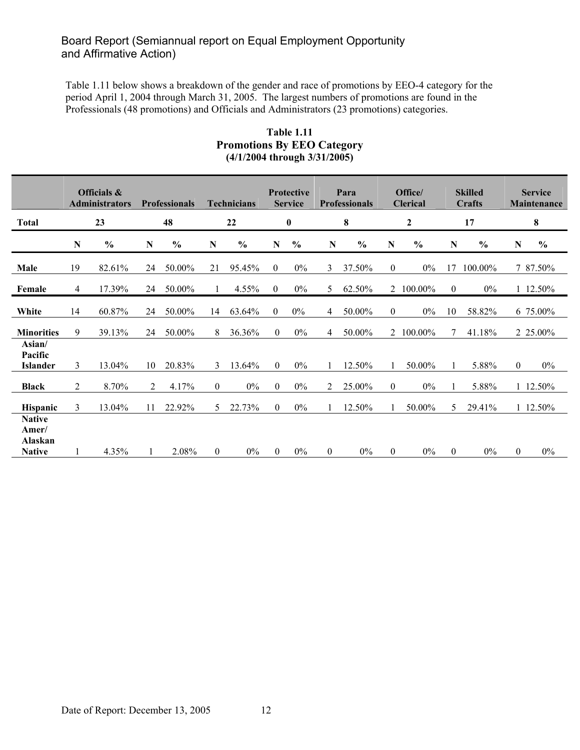Table 1.11 below shows a breakdown of the gender and race of promotions by EEO-4 category for the period April 1, 2004 through March 31, 2005. The largest numbers of promotions are found in the Professionals (48 promotions) and Officials and Administrators (23 promotions) categories.

#### **Table 1.11 Promotions By EEO Category (4/1/2004 through 3/31/2005)**

|                                                    | Officials &<br><b>Administrators</b> |                 | <b>Professionals</b> |                 | <b>Technicians</b> |                 | <b>Protective</b><br><b>Service</b> |                |                     | Para<br><b>Professionals</b> |                     | Office/<br><b>Clerical</b> |                  | <b>Skilled</b><br>Crafts |              | <b>Service</b><br>Maintenance |
|----------------------------------------------------|--------------------------------------|-----------------|----------------------|-----------------|--------------------|-----------------|-------------------------------------|----------------|---------------------|------------------------------|---------------------|----------------------------|------------------|--------------------------|--------------|-------------------------------|
| <b>Total</b>                                       |                                      | 23              |                      | 48              |                    | 22              |                                     | $\bf{0}$       |                     | 8                            |                     | $\boldsymbol{2}$           |                  | 17                       |              | ${\bf 8}$                     |
|                                                    | N                                    | $\frac{0}{0}$   | ${\bf N}$            | $\frac{0}{0}$   | N                  | $\frac{0}{0}$   | N                                   | $\frac{0}{0}$  | N                   | $\frac{0}{0}$                | N                   | $\frac{0}{0}$              | N                | $\frac{0}{0}$            | ${\bf N}$    | $\frac{0}{0}$                 |
| Male                                               | 19                                   | 82.61%          | 24                   | 50.00%          | 21                 | 95.45%          | $\mathbf{0}$                        | $0\%$          | 3                   | 37.50%                       | $\overline{0}$      | $0\%$                      | 17               | 100.00%                  |              | 7 87.50%                      |
| Female                                             | 4                                    | 17.39%          | 24                   | 50.00%          |                    | 4.55%           | $\theta$                            | $0\%$          | 5                   | 62.50%                       |                     | 2 100.00%                  | $\mathbf{0}$     | $0\%$                    |              | 1 12.50%                      |
| White                                              | 14                                   | 60.87%          | 24                   | 50.00%          | 14                 | 63.64%          | $\theta$                            | $0\%$          | 4                   | 50.00%                       | $\overline{0}$      | $0\%$                      | 10               | 58.82%                   |              | 6 75.00%                      |
| <b>Minorities</b>                                  | 9                                    | 39.13%          | 24                   | 50.00%          | 8                  | 36.36%          | $\theta$                            | $0\%$          | 4                   | 50.00%                       |                     | 2 100.00%                  |                  | 41.18%                   |              | 2 25.00%                      |
| Asian/<br>Pacific                                  |                                      |                 |                      |                 |                    |                 |                                     |                |                     |                              |                     |                            |                  |                          |              |                               |
| Islander<br><b>Black</b>                           | 3<br>2                               | 13.04%<br>8.70% | 10<br>2              | 20.83%<br>4.17% | 3<br>$\mathbf{0}$  | 13.64%<br>$0\%$ | $\theta$<br>$\overline{0}$          | $0\%$<br>$0\%$ | $\overline{1}$<br>2 | 12.50%<br>25.00%             | 1<br>$\overline{0}$ | 50.00%<br>$0\%$            |                  | 5.88%<br>5.88%           | $\mathbf{0}$ | $0\%$<br>1 12.50%             |
| Hispanic                                           | 3                                    | 13.04%          | 11                   | 22.92%          | 5                  | 22.73%          | $\theta$                            | $0\%$          |                     | 12.50%                       |                     | 50.00%                     | 5                | 29.41%                   |              | 1 12.50%                      |
| <b>Native</b><br>Amer/<br>Alaskan<br><b>Native</b> |                                      | 4.35%           | $\mathbf{1}$         | 2.08%           | $\overline{0}$     | 0%              | $\theta$                            | 0%             | $\overline{0}$      | $0\%$                        | $\overline{0}$      | $0\%$                      | $\boldsymbol{0}$ | 0%                       | $\mathbf{0}$ | $0\%$                         |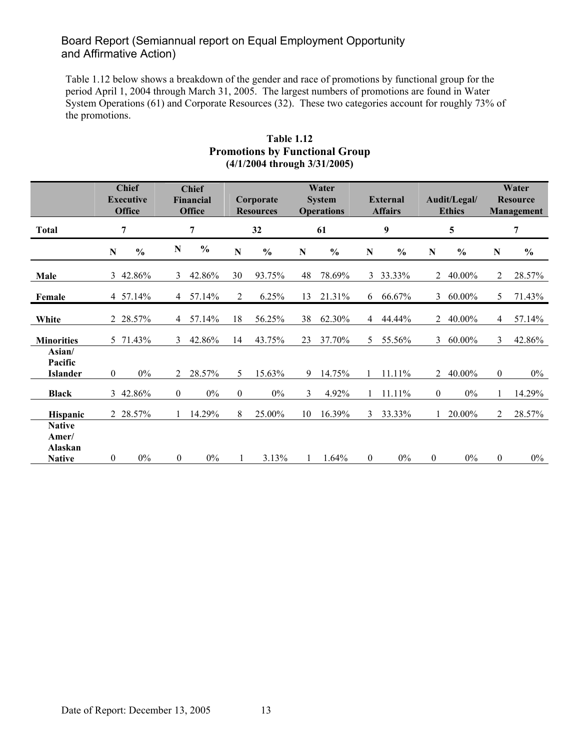Table 1.12 below shows a breakdown of the gender and race of promotions by functional group for the period April 1, 2004 through March 31, 2005. The largest numbers of promotions are found in Water System Operations (61) and Corporate Resources (32). These two categories account for roughly 73% of the promotions.

|                                                    |                  | <b>Chief</b><br><b>Chief</b><br><b>Executive</b><br>Financial<br><b>Office</b><br><b>Office</b> |                  | Water<br><b>System</b><br>Corporate<br><b>Operations</b><br><b>Resources</b> |                  |               |           |               | <b>External</b><br><b>Affairs</b> | Audit/Legal/<br><b>Ethics</b> |                  | Water<br><b>Resource</b><br><b>Management</b> |                  |               |
|----------------------------------------------------|------------------|-------------------------------------------------------------------------------------------------|------------------|------------------------------------------------------------------------------|------------------|---------------|-----------|---------------|-----------------------------------|-------------------------------|------------------|-----------------------------------------------|------------------|---------------|
| <b>Total</b>                                       |                  | 7                                                                                               |                  | 7                                                                            |                  | 32            |           | 61            |                                   | 9                             |                  | $5\overline{)}$                               |                  | 7             |
|                                                    | ${\bf N}$        | $\frac{0}{0}$                                                                                   | N                | $\frac{0}{0}$                                                                | N                | $\frac{0}{0}$ | ${\bf N}$ | $\frac{0}{0}$ | ${\bf N}$                         | $\frac{0}{0}$                 | ${\bf N}$        | $\frac{0}{0}$                                 | ${\bf N}$        | $\frac{0}{0}$ |
| Male                                               | $\mathfrak{Z}$   | 42.86%                                                                                          | 3                | 42.86%                                                                       | 30               | 93.75%        | 48        | 78.69%        | 3                                 | 33.33%                        | $\overline{2}$   | 40.00%                                        | 2                | 28.57%        |
| Female                                             |                  | 4 57.14%                                                                                        | 4                | 57.14%                                                                       | $\overline{2}$   | 6.25%         | 13        | 21.31%        | 6                                 | 66.67%                        | 3                | 60.00%                                        | 5                | 71.43%        |
| White                                              |                  | 2 28.57%                                                                                        | $\overline{4}$   | 57.14%                                                                       | 18               | 56.25%        | 38        | 62.30%        | 4                                 | 44.44%                        | $\overline{2}$   | 40.00%                                        | $\overline{4}$   | 57.14%        |
| <b>Minorities</b>                                  |                  | 5 71.43%                                                                                        | 3                | 42.86%                                                                       | 14               | 43.75%        | 23        | 37.70%        | 5                                 | 55.56%                        | $\mathfrak{Z}$   | 60.00%                                        | 3                | 42.86%        |
| Asian/<br>Pacific<br><b>Islander</b>               | $\boldsymbol{0}$ | $0\%$                                                                                           | $\overline{2}$   | 28.57%                                                                       | 5                | 15.63%        | 9         | 14.75%        |                                   | 11.11%                        | $\overline{2}$   | 40.00%                                        | $\boldsymbol{0}$ | $0\%$         |
| <b>Black</b>                                       |                  | 3 42.86%                                                                                        | $\mathbf{0}$     | $0\%$                                                                        | $\boldsymbol{0}$ | $0\%$         | 3         | 4.92%         |                                   | 11.11%                        | $\overline{0}$   | $0\%$                                         | $\mathbf{1}$     | 14.29%        |
| <b>Hispanic</b>                                    |                  | 2 28.57%                                                                                        |                  | 14.29%                                                                       | 8                | 25.00%        | 10        | 16.39%        | 3                                 | 33.33%                        |                  | 20.00%                                        | 2                | 28.57%        |
| <b>Native</b><br>Amer/<br>Alaskan<br><b>Native</b> | $\boldsymbol{0}$ | $0\%$                                                                                           | $\boldsymbol{0}$ | $0\%$                                                                        |                  | 3.13%         | 1         | 1.64%         | $\boldsymbol{0}$                  | 0%                            | $\boldsymbol{0}$ | $0\%$                                         | $\boldsymbol{0}$ | $0\%$         |

### **Table 1.12 Promotions by Functional Group (4/1/2004 through 3/31/2005)**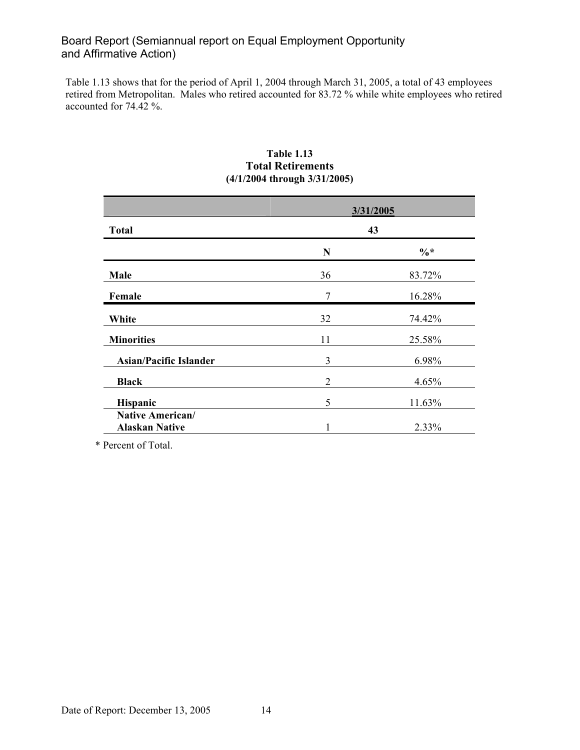Table 1.13 shows that for the period of April 1, 2004 through March 31, 2005, a total of 43 employees retired from Metropolitan. Males who retired accounted for 83.72 % while white employees who retired accounted for 74.42 %.

|                                                  |    | 3/31/2005       |
|--------------------------------------------------|----|-----------------|
| <b>Total</b>                                     |    | 43              |
|                                                  | N  | $\frac{0}{6}$ * |
| Male                                             | 36 | 83.72%          |
| Female                                           | 7  | 16.28%          |
| White                                            | 32 | 74.42%          |
| <b>Minorities</b>                                | 11 | 25.58%          |
| <b>Asian/Pacific Islander</b>                    | 3  | 6.98%           |
| <b>Black</b>                                     | 2  | 4.65%           |
| Hispanic                                         | 5  | 11.63%          |
| <b>Native American/</b><br><b>Alaskan Native</b> |    | 2.33%           |

#### **Table 1.13 Total Retirements (4/1/2004 through 3/31/2005)**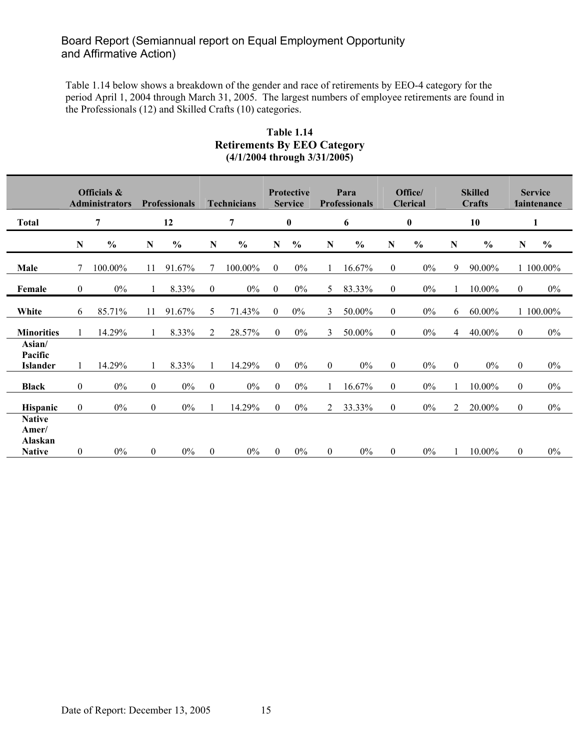Table 1.14 below shows a breakdown of the gender and race of retirements by EEO-4 category for the period April 1, 2004 through March 31, 2005. The largest numbers of employee retirements are found in the Professionals (12) and Skilled Crafts (10) categories.

| <b>Table 1.14</b>                  |
|------------------------------------|
| <b>Retirements By EEO Category</b> |
| $(4/1/2004$ through $3/31/2005)$   |

|                                                    |                  | Officials &<br><b>Administrators</b> |                  | <b>Professionals</b> |                  | <b>Technicians</b> |                  | <b>Protective</b><br><b>Service</b> |                | Para<br><b>Professionals</b> |                  | Office/<br><b>Clerical</b> |                  | <b>Skilled</b><br><b>Crafts</b> |                  | <b>Service</b><br><b>Taintenance</b> |
|----------------------------------------------------|------------------|--------------------------------------|------------------|----------------------|------------------|--------------------|------------------|-------------------------------------|----------------|------------------------------|------------------|----------------------------|------------------|---------------------------------|------------------|--------------------------------------|
| <b>Total</b>                                       |                  | 7                                    |                  | 12                   |                  | 7                  |                  | $\pmb{0}$                           |                | 6                            |                  | $\pmb{0}$                  |                  | 10                              |                  | 1                                    |
|                                                    | N                | $\frac{0}{0}$                        | N                | $\frac{6}{10}$       | N                | $\frac{0}{0}$      | N                | $\frac{0}{0}$                       | N              | $\frac{0}{0}$                | N                | $\frac{6}{6}$              | N                | $\frac{0}{0}$                   | N                | $\frac{0}{0}$                        |
| Male                                               | 7                | 100.00%                              | 11               | 91.67%               | 7                | 100.00%            | $\boldsymbol{0}$ | $0\%$                               | 1              | 16.67%                       | $\overline{0}$   | $0\%$                      | 9                | 90.00%                          |                  | 1 100.00%                            |
| Female                                             | $\mathbf{0}$     | $0\%$                                |                  | 8.33%                | $\boldsymbol{0}$ | $0\%$              | $\overline{0}$   | $0\%$                               | 5              | 83.33%                       | $\overline{0}$   | $0\%$                      |                  | 10.00%                          | $\overline{0}$   | $0\%$                                |
| White                                              | 6                | 85.71%                               | 11               | 91.67%               | 5                | 71.43%             | $\overline{0}$   | $0\%$                               | 3              | 50.00%                       | $\boldsymbol{0}$ | $0\%$                      | 6                | 60.00%                          |                  | 1 100.00%                            |
| <b>Minorities</b>                                  |                  | 14.29%                               |                  | 8.33%                | 2                | 28.57%             | $\theta$         | $0\%$                               | 3              | 50.00%                       | $\overline{0}$   | $0\%$                      | 4                | 40.00%                          | $\boldsymbol{0}$ | $0\%$                                |
| Asian/<br>Pacific<br><b>Islander</b>               |                  | 14.29%                               | 1                | 8.33%                | 1                | 14.29%             | $\theta$         | $0\%$                               | $\overline{0}$ | $0\%$                        | $\overline{0}$   | $0\%$                      | $\boldsymbol{0}$ | $0\%$                           | $\mathbf{0}$     | $0\%$                                |
| <b>Black</b>                                       | $\boldsymbol{0}$ | $0\%$                                | $\boldsymbol{0}$ | $0\%$                | $\boldsymbol{0}$ | $0\%$              | $\overline{0}$   | $0\%$                               | $\mathbf{1}$   | 16.67%                       | $\boldsymbol{0}$ | $0\%$                      |                  | 10.00%                          | $\overline{0}$   | $0\%$                                |
| <b>Hispanic</b>                                    | $\overline{0}$   | $0\%$                                | $\boldsymbol{0}$ | $0\%$                |                  | 14.29%             | $\theta$         | $0\%$                               | $\overline{2}$ | 33.33%                       | $\overline{0}$   | $0\%$                      | $\overline{2}$   | 20.00%                          | $\boldsymbol{0}$ | $0\%$                                |
| <b>Native</b><br>Amer/<br>Alaskan<br><b>Native</b> | $\overline{0}$   | $0\%$                                | $\boldsymbol{0}$ | $0\%$                | $\boldsymbol{0}$ | $0\%$              | $\theta$         | 0%                                  | $\overline{0}$ | $0\%$                        | $\boldsymbol{0}$ | 0%                         |                  | 10.00%                          | $\mathbf{0}$     | $0\%$                                |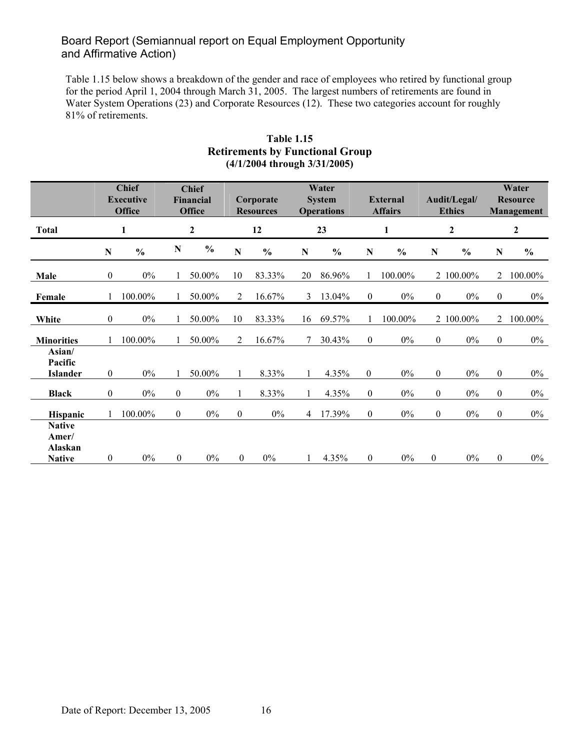Table 1.15 below shows a breakdown of the gender and race of employees who retired by functional group for the period April 1, 2004 through March 31, 2005. The largest numbers of retirements are found in Water System Operations (23) and Corporate Resources (12). These two categories account for roughly 81% of retirements.

|                                                    |                  | <b>Chief</b><br><b>Executive</b><br><b>Office</b> |                  | <b>Chief</b><br><b>Financial</b><br><b>Office</b> |                  | Corporate<br><b>Resources</b> |                | Water<br><b>System</b><br><b>Operations</b> |                  | <b>External</b><br><b>Affairs</b> |                  | Audit/Legal/<br><b>Ethics</b> |                  | Water<br><b>Resource</b><br>Management |
|----------------------------------------------------|------------------|---------------------------------------------------|------------------|---------------------------------------------------|------------------|-------------------------------|----------------|---------------------------------------------|------------------|-----------------------------------|------------------|-------------------------------|------------------|----------------------------------------|
| <b>Total</b>                                       |                  | 1                                                 |                  | $\boldsymbol{2}$                                  |                  | 12                            |                | 23                                          |                  | $\mathbf{1}$                      |                  | $\mathbf{2}$                  |                  | $\mathbf{2}$                           |
|                                                    | N                | $\frac{0}{0}$                                     | $\mathbf N$      | $\frac{0}{0}$                                     | ${\bf N}$        | $\frac{0}{0}$                 | N              | $\frac{0}{0}$                               | $\mathbf N$      | $\frac{6}{6}$                     | $\mathbf N$      | $\frac{0}{0}$                 | $\mathbf N$      | $\frac{0}{0}$                          |
| Male                                               | $\mathbf{0}$     | $0\%$                                             |                  | 50.00%                                            | 10               | 83.33%                        | 20             | 86.96%                                      |                  | 100.00%                           |                  | 2 100.00%                     | 2                | 100.00%                                |
| Female                                             |                  | 100.00%                                           |                  | 50.00%                                            | 2                | 16.67%                        | 3              | 13.04%                                      | $\overline{0}$   | $0\%$                             | $\overline{0}$   | $0\%$                         | $\boldsymbol{0}$ | $0\%$                                  |
| White                                              | $\mathbf{0}$     | $0\%$                                             |                  | 50.00%                                            | 10               | 83.33%                        | 16             | 69.57%                                      | $\mathbf{1}$     | 100.00%                           |                  | 2 100.00%                     | $\overline{2}$   | 100.00%                                |
| <b>Minorities</b>                                  |                  | 100.00%                                           |                  | 50.00%                                            | 2                | 16.67%                        | 7              | 30.43%                                      | $\mathbf{0}$     | $0\%$                             | $\mathbf{0}$     | $0\%$                         | $\mathbf{0}$     | $0\%$                                  |
| Asian/<br>Pacific<br><b>Islander</b>               | $\mathbf{0}$     | $0\%$                                             |                  | 50.00%                                            | $\mathbf{1}$     | 8.33%                         | $\mathbf{1}$   | 4.35%                                       | $\overline{0}$   | $0\%$                             | $\overline{0}$   | $0\%$                         | $\mathbf{0}$     | $0\%$                                  |
| <b>Black</b>                                       | $\mathbf{0}$     | $0\%$                                             | $\boldsymbol{0}$ | $0\%$                                             | 1                | 8.33%                         | 1              | 4.35%                                       | $\boldsymbol{0}$ | $0\%$                             | $\mathbf{0}$     | $0\%$                         | $\mathbf{0}$     | $0\%$                                  |
| <b>Hispanic</b>                                    |                  | 100.00%                                           | $\boldsymbol{0}$ | $0\%$                                             | $\boldsymbol{0}$ | $0\%$                         | $\overline{4}$ | 17.39%                                      | $\boldsymbol{0}$ | $0\%$                             | $\mathbf{0}$     | $0\%$                         | $\boldsymbol{0}$ | $0\%$                                  |
| <b>Native</b><br>Amer/<br>Alaskan<br><b>Native</b> | $\boldsymbol{0}$ | $0\%$                                             | $\boldsymbol{0}$ | $0\%$                                             | $\boldsymbol{0}$ | $0\%$                         | 1              | 4.35%                                       | $\boldsymbol{0}$ | $0\%$                             | $\boldsymbol{0}$ | $0\%$                         | $\boldsymbol{0}$ | $0\%$                                  |

### **Table 1.15 Retirements by Functional Group (4/1/2004 through 3/31/2005)**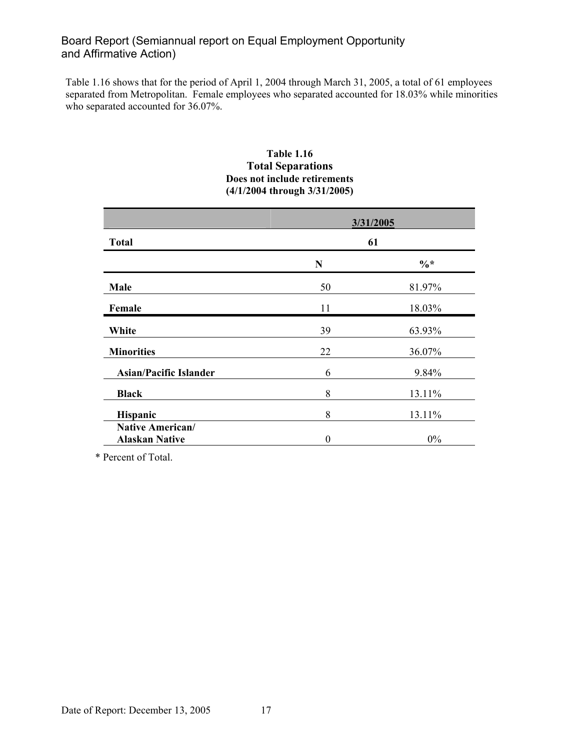Table 1.16 shows that for the period of April 1, 2004 through March 31, 2005, a total of 61 employees separated from Metropolitan. Female employees who separated accounted for 18.03% while minorities who separated accounted for 36.07%.

#### **Table 1.16 Total Separations Does not include retirements (4/1/2004 through 3/31/2005)**

|                                           |          | 3/31/2005 |
|-------------------------------------------|----------|-----------|
| <b>Total</b>                              |          | 61        |
|                                           | N        | $\%*$     |
| Male                                      | 50       | 81.97%    |
| Female                                    | 11       | 18.03%    |
| White                                     | 39       | 63.93%    |
| <b>Minorities</b>                         | 22       | 36.07%    |
| <b>Asian/Pacific Islander</b>             | 6        | 9.84%     |
| <b>Black</b>                              | 8        | 13.11%    |
| Hispanic                                  | 8        | 13.11%    |
| Native American/<br><b>Alaskan Native</b> | $\theta$ | $0\%$     |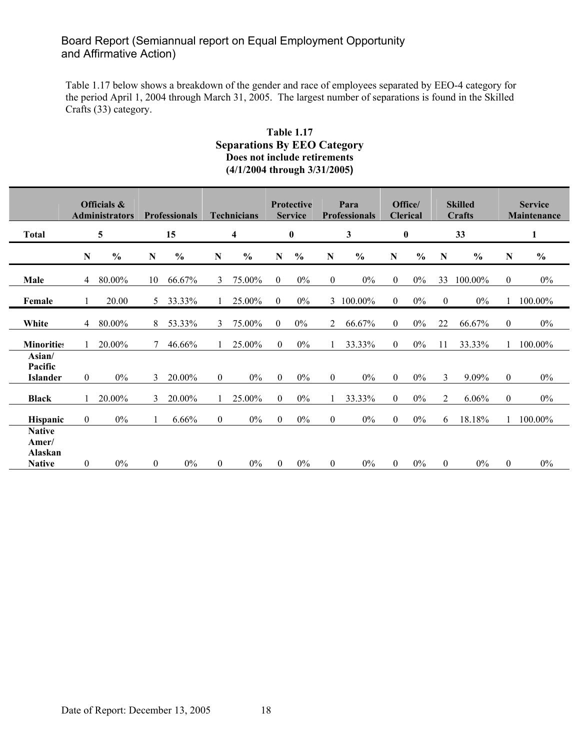Table 1.17 below shows a breakdown of the gender and race of employees separated by EEO-4 category for the period April 1, 2004 through March 31, 2005. The largest number of separations is found in the Skilled Crafts (33) category.

### **Table 1.17 Separations By EEO Category Does not include retirements (4/1/2004 through 3/31/2005)**

|                                                    |                  | Officials &<br><b>Administrators</b> |          | <b>Professionals</b> |                  | <b>Technicians</b> |                  | <b>Protective</b><br><b>Service</b> |                | Para<br><b>Professionals</b> |                | Office/<br><b>Clerical</b> |                | <b>Skilled</b><br>Crafts |                  | <b>Service</b><br>Maintenance |
|----------------------------------------------------|------------------|--------------------------------------|----------|----------------------|------------------|--------------------|------------------|-------------------------------------|----------------|------------------------------|----------------|----------------------------|----------------|--------------------------|------------------|-------------------------------|
| <b>Total</b>                                       |                  | 5                                    |          | 15                   |                  | 4                  |                  | $\boldsymbol{0}$                    |                | 3                            |                | $\bf{0}$                   |                | 33                       |                  | 1                             |
|                                                    | N                | $\frac{6}{9}$                        | N        | $\frac{6}{9}$        | $\mathbf N$      | $\frac{6}{9}$      | N                | $\frac{6}{9}$                       | N              | $\frac{6}{9}$                | N              | $\frac{6}{9}$              | N              | $\frac{6}{6}$            | $\mathbf N$      | $\frac{0}{0}$                 |
| Male                                               | 4                | 80.00%                               | 10       | 66.67%               | 3                | 75.00%             | $\theta$         | $0\%$                               | $\overline{0}$ | $0\%$                        | $\theta$       | $0\%$                      | 33             | 100.00%                  | $\mathbf{0}$     | $0\%$                         |
| Female                                             |                  | 20.00                                | 5        | 33.33%               |                  | 25.00%             | $\overline{0}$   | $0\%$                               |                | 3 100.00%                    | $\overline{0}$ | $0\%$                      | $\mathbf{0}$   | $0\%$                    |                  | 100.00%                       |
| White                                              | $\overline{4}$   | 80.00%                               | 8        | 53.33%               | 3                | 75.00%             | $\mathbf{0}$     | $0\%$                               | $\overline{2}$ | 66.67%                       | $\mathbf{0}$   | $0\%$                      | 22             | 66.67%                   | $\boldsymbol{0}$ | $0\%$                         |
| <b>Minorities</b>                                  |                  | 20.00%                               |          | 46.66%               |                  | 25.00%             | $\overline{0}$   | $0\%$                               |                | 33.33%                       | $\mathbf{0}$   | $0\%$                      | 11             | 33.33%                   |                  | 100.00%                       |
| Asian/<br>Pacific<br><b>Islander</b>               | $\boldsymbol{0}$ | $0\%$                                | 3        | 20.00%               | $\boldsymbol{0}$ | $0\%$              | $\boldsymbol{0}$ | $0\%$                               | $\overline{0}$ | $0\%$                        | $\mathbf{0}$   | $0\%$                      | 3              | 9.09%                    | $\boldsymbol{0}$ | $0\%$                         |
| <b>Black</b>                                       | 1                | 20.00%                               | 3        | 20.00%               | $\mathbf{1}$     | 25.00%             | $\overline{0}$   | 0%                                  | 1              | 33.33%                       | $\mathbf{0}$   | $0\%$                      | $\overline{2}$ | 6.06%                    | $\mathbf{0}$     | $0\%$                         |
| <b>Hispanic</b>                                    | $\boldsymbol{0}$ | $0\%$                                |          | $6.66\%$             | $\boldsymbol{0}$ | $0\%$              | $\boldsymbol{0}$ | $0\%$                               | $\overline{0}$ | $0\%$                        | $\theta$       | $0\%$                      | 6              | 18.18%                   |                  | 100.00%                       |
| <b>Native</b><br>Amer/<br>Alaskan<br><b>Native</b> | $\mathbf{0}$     | $0\%$                                | $\theta$ | $0\%$                | $\overline{0}$   | $0\%$              | $\theta$         | $0\%$                               | $\theta$       | $0\%$                        | $\theta$       | $0\%$                      | $\overline{0}$ | $0\%$                    | $\mathbf{0}$     | $0\%$                         |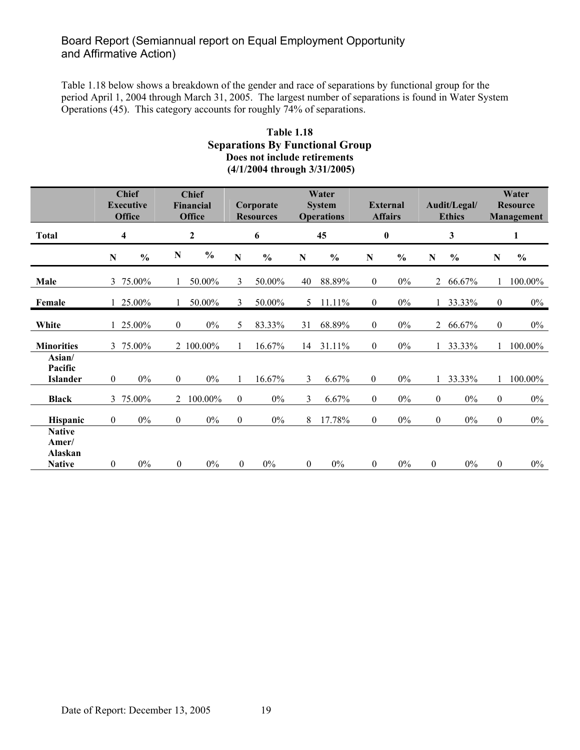Table 1.18 below shows a breakdown of the gender and race of separations by functional group for the period April 1, 2004 through March 31, 2005. The largest number of separations is found in Water System Operations (45). This category accounts for roughly 74% of separations.

#### **Table 1.18 Separations By Functional Group Does not include retirements (4/1/2004 through 3/31/2005)**

|                                      |                  | <b>Chief</b><br><b>Executive</b><br><b>Office</b> |                  | <b>Chief</b><br><b>Financial</b><br><b>Office</b> |                  | Corporate<br><b>Resources</b> |                  | Water<br><b>System</b><br><b>Operations</b> |                  | <b>External</b><br><b>Affairs</b> |                  | Audit/Legal/<br><b>Ethics</b> |                  | Water<br><b>Resource</b><br>Management |
|--------------------------------------|------------------|---------------------------------------------------|------------------|---------------------------------------------------|------------------|-------------------------------|------------------|---------------------------------------------|------------------|-----------------------------------|------------------|-------------------------------|------------------|----------------------------------------|
| <b>Total</b>                         |                  | 4                                                 |                  | $\mathbf{2}$                                      |                  | 6                             |                  | 45                                          |                  | $\pmb{0}$                         |                  | $\mathbf{3}$                  |                  | 1                                      |
|                                      | ${\bf N}$        | $\frac{0}{0}$                                     | N                | $\frac{0}{0}$                                     | ${\bf N}$        | $\frac{0}{0}$                 | $\mathbf N$      | $\frac{0}{0}$                               | $\mathbf N$      | $\frac{0}{0}$                     | $\mathbf N$      | $\frac{0}{0}$                 | N                | $\frac{0}{0}$                          |
| Male                                 | 3                | 75.00%                                            |                  | 50.00%                                            | 3                | 50.00%                        | 40               | 88.89%                                      | $\boldsymbol{0}$ | $0\%$                             | $\overline{2}$   | 66.67%                        |                  | 100.00%                                |
| Female                               |                  | 25.00%                                            | 1                | 50.00%                                            | 3                | 50.00%                        | 5.               | 11.11%                                      | $\mathbf{0}$     | $0\%$                             |                  | 33.33%                        | $\boldsymbol{0}$ | $0\%$                                  |
| White                                |                  | 25.00%                                            | $\boldsymbol{0}$ | $0\%$                                             | 5                | 83.33%                        | 31               | 68.89%                                      | $\boldsymbol{0}$ | $0\%$                             | $\overline{2}$   | 66.67%                        | $\boldsymbol{0}$ | $0\%$                                  |
| <b>Minorities</b>                    | 3                | 75.00%                                            |                  | 2 100.00%                                         | 1                | 16.67%                        | 14               | 31.11%                                      | $\theta$         | $0\%$                             |                  | 33.33%                        |                  | 100.00%                                |
| Asian/<br>Pacific<br><b>Islander</b> | $\mathbf{0}$     | $0\%$                                             | $\theta$         | $0\%$                                             | 1                | 16.67%                        | 3                | 6.67%                                       | $\boldsymbol{0}$ | $0\%$                             |                  | 33.33%                        |                  | 100.00%                                |
| <b>Black</b>                         | 3                | 75.00%                                            | 2                | 100.00%                                           | $\boldsymbol{0}$ | $0\%$                         | 3                | 6.67%                                       | $\boldsymbol{0}$ | $0\%$                             | $\boldsymbol{0}$ | $0\%$                         | $\boldsymbol{0}$ | $0\%$                                  |
| Hispanic                             | $\overline{0}$   | $0\%$                                             | $\boldsymbol{0}$ | $0\%$                                             | $\boldsymbol{0}$ | $0\%$                         | 8                | 17.78%                                      | $\mathbf{0}$     | $0\%$                             | $\overline{0}$   | $0\%$                         | $\boldsymbol{0}$ | $0\%$                                  |
| <b>Native</b><br>Amer/<br>Alaskan    |                  |                                                   |                  |                                                   |                  |                               |                  |                                             |                  |                                   |                  |                               |                  |                                        |
| <b>Native</b>                        | $\boldsymbol{0}$ | $0\%$                                             | $\boldsymbol{0}$ | $0\%$                                             | $\boldsymbol{0}$ | $0\%$                         | $\boldsymbol{0}$ | $0\%$                                       | $\boldsymbol{0}$ | $0\%$                             | $\boldsymbol{0}$ | $0\%$                         | $\boldsymbol{0}$ | $0\%$                                  |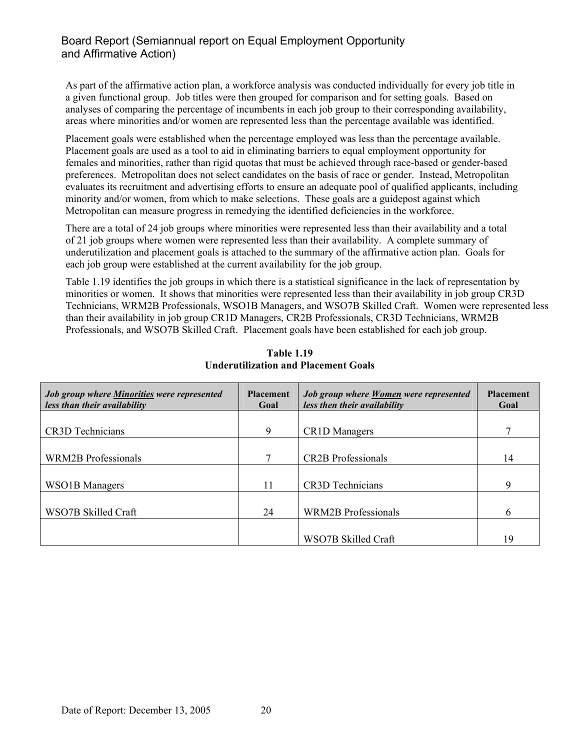As part of the affirmative action plan, a workforce analysis was conducted individually for every job title in a given functional group. Job titles were then grouped for comparison and for setting goals. Based on analyses of comparing the percentage of incumbents in each job group to their corresponding availability, areas where minorities and/or women are represented less than the percentage available was identified.

Placement goals were established when the percentage employed was less than the percentage available. Placement goals are used as a tool to aid in eliminating barriers to equal employment opportunity for females and minorities, rather than rigid quotas that must be achieved through race-based or gender-based preferences. Metropolitan does not select candidates on the basis of race or gender. Instead, Metropolitan evaluates its recruitment and advertising efforts to ensure an adequate pool of qualified applicants, including minority and/or women, from which to make selections. These goals are a guidepost against which Metropolitan can measure progress in remedying the identified deficiencies in the workforce.

There are a total of 24 job groups where minorities were represented less than their availability and a total of 21 job groups where women were represented less than their availability. A complete summary of underutilization and placement goals is attached to the summary of the affirmative action plan. Goals for each job group were established at the current availability for the job group.

Table 1.19 identifies the job groups in which there is a statistical significance in the lack of representation by minorities or women. It shows that minorities were represented less than their availability in job group CR3D Technicians, WRM2B Professionals, WSO1B Managers, and WSO7B Skilled Craft. Women were represented less than their availability in job group CR1D Managers, CR2B Professionals, CR3D Technicians, WRM2B Professionals, and WSO7B Skilled Craft. Placement goals have been established for each job group.

| <b>Job group where Minorities were represented</b><br>less than their availability | <b>Placement</b><br>Goal | Job group where Women were represented<br>less then their availability | <b>Placement</b><br>Goal |
|------------------------------------------------------------------------------------|--------------------------|------------------------------------------------------------------------|--------------------------|
|                                                                                    |                          |                                                                        |                          |
| <b>CR3D</b> Technicians                                                            | 9                        | <b>CR1D</b> Managers                                                   |                          |
|                                                                                    |                          |                                                                        |                          |
| <b>WRM2B</b> Professionals                                                         | 7                        | <b>CR2B</b> Professionals                                              | 14                       |
|                                                                                    |                          |                                                                        |                          |
| <b>WSO1B</b> Managers                                                              | 11                       | <b>CR3D</b> Technicians                                                | 9                        |
|                                                                                    |                          |                                                                        |                          |
| WSO7B Skilled Craft                                                                | 24                       | <b>WRM2B</b> Professionals                                             | 6                        |
|                                                                                    |                          |                                                                        |                          |
|                                                                                    |                          | WSO7B Skilled Craft                                                    | 19                       |

**Table 1.19 Underutilization and Placement Goals**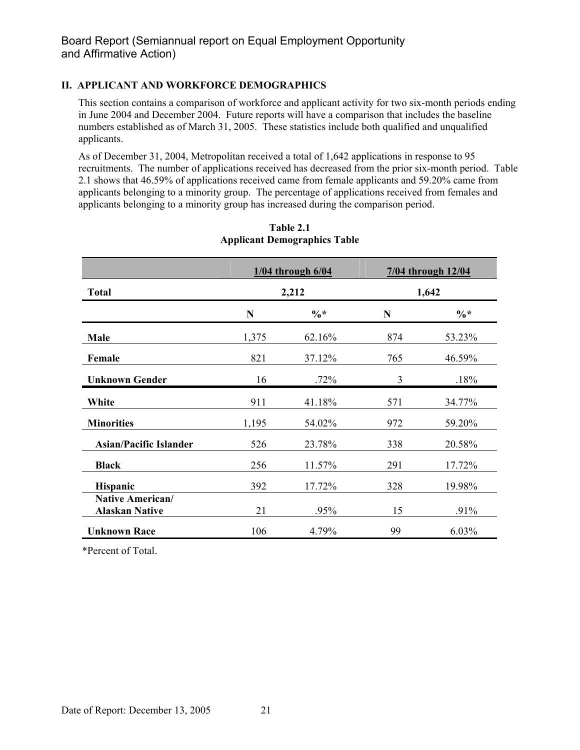#### **II. APPLICANT AND WORKFORCE DEMOGRAPHICS**

This section contains a comparison of workforce and applicant activity for two six-month periods ending in June 2004 and December 2004. Future reports will have a comparison that includes the baseline numbers established as of March 31, 2005. These statistics include both qualified and unqualified applicants.

As of December 31, 2004, Metropolitan received a total of 1,642 applications in response to 95 recruitments. The number of applications received has decreased from the prior six-month period. Table 2.1 shows that 46.59% of applications received came from female applicants and 59.20% came from applicants belonging to a minority group. The percentage of applications received from females and applicants belonging to a minority group has increased during the comparison period.

|                                                  |       | $1/04$ through $6/04$ |     | 7/04 through 12/04 |
|--------------------------------------------------|-------|-----------------------|-----|--------------------|
| <b>Total</b>                                     |       | 2,212                 |     | 1,642              |
|                                                  | N     | $\frac{0}{6}$ *       | N   | $\frac{0}{6}$ *    |
| Male                                             | 1,375 | 62.16%                | 874 | 53.23%             |
| Female                                           | 821   | 37.12%                | 765 | 46.59%             |
| <b>Unknown Gender</b>                            | 16    | .72%                  | 3   | .18%               |
| White                                            | 911   | 41.18%                | 571 | 34.77%             |
| <b>Minorities</b>                                | 1,195 | 54.02%                | 972 | 59.20%             |
| <b>Asian/Pacific Islander</b>                    | 526   | 23.78%                | 338 | 20.58%             |
| <b>Black</b>                                     | 256   | 11.57%                | 291 | 17.72%             |
| <b>Hispanic</b>                                  | 392   | 17.72%                | 328 | 19.98%             |
| <b>Native American/</b><br><b>Alaskan Native</b> | 21    | .95%                  | 15  | $.91\%$            |
| <b>Unknown Race</b>                              | 106   | 4.79%                 | 99  | $6.03\%$           |

**Table 2.1 Applicant Demographics Table**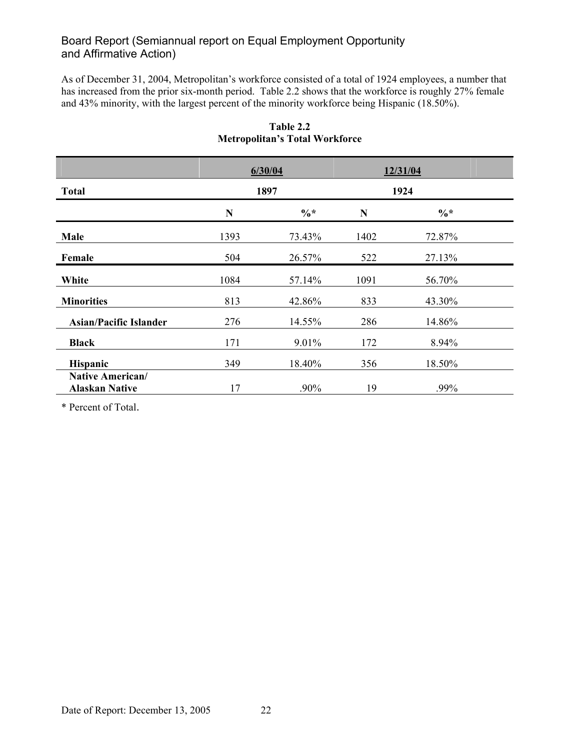As of December 31, 2004, Metropolitan's workforce consisted of a total of 1924 employees, a number that has increased from the prior six-month period. Table 2.2 shows that the workforce is roughly 27% female and 43% minority, with the largest percent of the minority workforce being Hispanic (18.50%).

|                                           |             | 6/30/04         |      | 12/31/04 |  |
|-------------------------------------------|-------------|-----------------|------|----------|--|
| <b>Total</b>                              |             | 1897            |      | 1924     |  |
|                                           | $\mathbf N$ | $\frac{0}{6}$ * | N    | $\%*$    |  |
| Male                                      | 1393        | 73.43%          | 1402 | 72.87%   |  |
| Female                                    | 504         | 26.57%          | 522  | 27.13%   |  |
| White                                     | 1084        | 57.14%          | 1091 | 56.70%   |  |
| <b>Minorities</b>                         | 813         | 42.86%          | 833  | 43.30%   |  |
| <b>Asian/Pacific Islander</b>             | 276         | 14.55%          | 286  | 14.86%   |  |
| <b>Black</b>                              | 171         | 9.01%           | 172  | 8.94%    |  |
| <b>Hispanic</b>                           | 349         | 18.40%          | 356  | 18.50%   |  |
| Native American/<br><b>Alaskan Native</b> | 17          | $.90\%$         | 19   | .99%     |  |

#### **Table 2.2 Metropolitan's Total Workforce**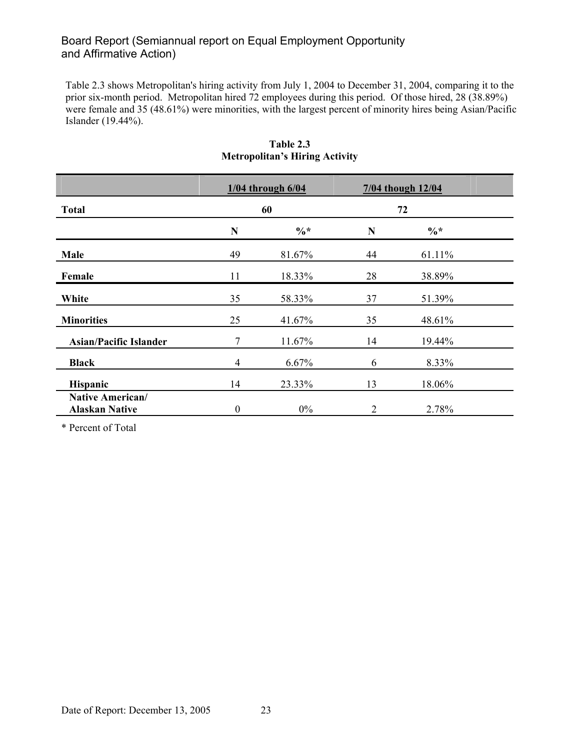Table 2.3 shows Metropolitan's hiring activity from July 1, 2004 to December 31, 2004, comparing it to the prior six-month period. Metropolitan hired 72 employees during this period. Of those hired, 28 (38.89%) were female and 35 (48.61%) were minorities, with the largest percent of minority hires being Asian/Pacific Islander (19.44%).

|                                                  |                  | $1/04$ through $6/04$ | 7/04 though 12/04 |                 |  |
|--------------------------------------------------|------------------|-----------------------|-------------------|-----------------|--|
| <b>Total</b>                                     |                  | 60                    | 72                |                 |  |
|                                                  | N                | $\%*$                 | N                 | $\frac{0}{6}$ * |  |
| Male                                             | 49               | 81.67%                | 44                | 61.11%          |  |
| Female                                           | 11               | 18.33%                | 28                | 38.89%          |  |
| White                                            | 35               | 58.33%                | 37                | 51.39%          |  |
| <b>Minorities</b>                                | 25               | 41.67%                | 35                | 48.61%          |  |
| <b>Asian/Pacific Islander</b>                    | 7                | 11.67%                | 14                | 19.44%          |  |
| <b>Black</b>                                     | 4                | 6.67%                 | 6                 | 8.33%           |  |
| Hispanic                                         | 14               | 23.33%                | 13                | 18.06%          |  |
| <b>Native American/</b><br><b>Alaskan Native</b> | $\boldsymbol{0}$ | $0\%$                 | 2                 | 2.78%           |  |

#### **Table 2.3 Metropolitan's Hiring Activity**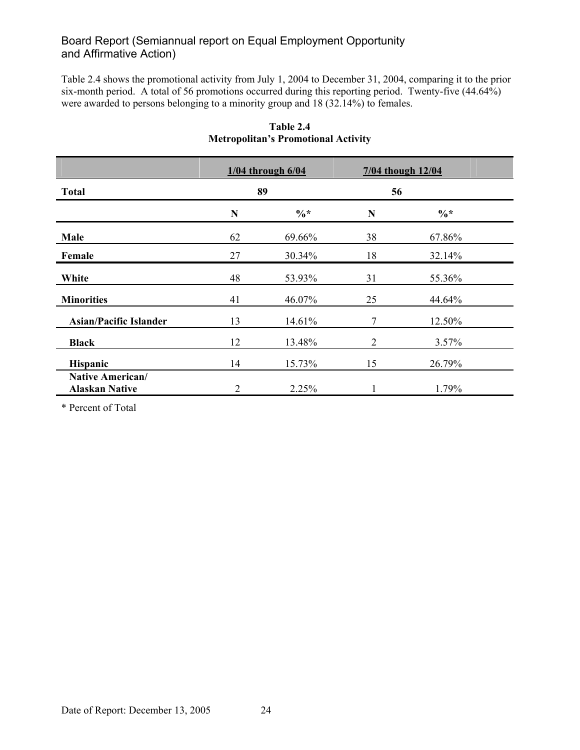Table 2.4 shows the promotional activity from July 1, 2004 to December 31, 2004, comparing it to the prior six-month period. A total of 56 promotions occurred during this reporting period. Twenty-five (44.64%) were awarded to persons belonging to a minority group and 18 (32.14%) to females.

|                                                  |    | $1/04$ through $6/04$ |    | 7/04 though 12/04 |  |
|--------------------------------------------------|----|-----------------------|----|-------------------|--|
| <b>Total</b>                                     |    | 89                    | 56 |                   |  |
|                                                  | N  | $\%*$                 | N  | $\frac{0}{6}$ *   |  |
| Male                                             | 62 | 69.66%                | 38 | 67.86%            |  |
| Female                                           | 27 | 30.34%                | 18 | 32.14%            |  |
| White                                            | 48 | 53.93%                | 31 | 55.36%            |  |
| <b>Minorities</b>                                | 41 | 46.07%                | 25 | 44.64%            |  |
| <b>Asian/Pacific Islander</b>                    | 13 | 14.61%                | 7  | 12.50%            |  |
| <b>Black</b>                                     | 12 | 13.48%                | 2  | 3.57%             |  |
| <b>Hispanic</b>                                  | 14 | 15.73%                | 15 | 26.79%            |  |
| <b>Native American/</b><br><b>Alaskan Native</b> | 2  | 2.25%                 |    | 1.79%             |  |

**Table 2.4 Metropolitan's Promotional Activity**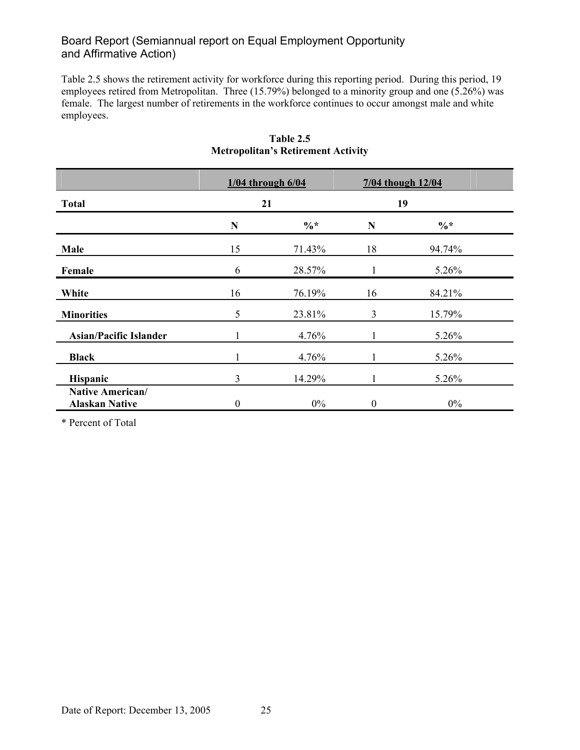Table 2.5 shows the retirement activity for workforce during this reporting period. During this period, 19 employees retired from Metropolitan. Three (15.79%) belonged to a minority group and one (5.26%) was female. The largest number of retirements in the workforce continues to occur amongst male and white employees.

|                                                  | $1/04$ through $6/04$ |                 | 7/04 though 12/04 |                 |  |
|--------------------------------------------------|-----------------------|-----------------|-------------------|-----------------|--|
| <b>Total</b>                                     | 21                    |                 | 19                |                 |  |
|                                                  | N                     | $\frac{0}{6}$ * | N                 | $\frac{0}{6}$ * |  |
| Male                                             | 15                    | 71.43%          | 18                | 94.74%          |  |
| Female                                           | 6                     | 28.57%          |                   | 5.26%           |  |
| White                                            | 16                    | 76.19%          | 16                | 84.21%          |  |
| <b>Minorities</b>                                | 5                     | 23.81%          | 3                 | 15.79%          |  |
| <b>Asian/Pacific Islander</b>                    |                       | 4.76%           |                   | 5.26%           |  |
| <b>Black</b>                                     |                       | 4.76%           |                   | 5.26%           |  |
| Hispanic                                         | 3                     | 14.29%          | 1                 | 5.26%           |  |
| <b>Native American/</b><br><b>Alaskan Native</b> | $\boldsymbol{0}$      | $0\%$           | $\boldsymbol{0}$  | $0\%$           |  |

### **Table 2.5 Metropolitan's Retirement Activity**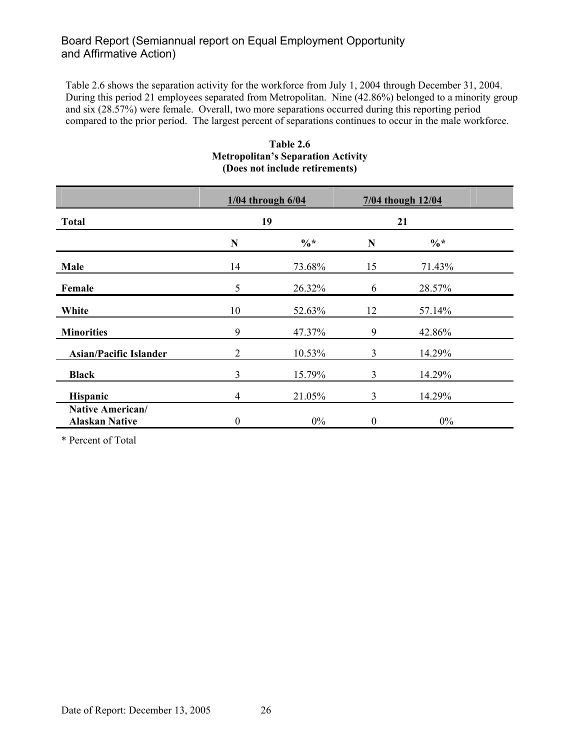Table 2.6 shows the separation activity for the workforce from July 1, 2004 through December 31, 2004. During this period 21 employees separated from Metropolitan. Nine (42.86%) belonged to a minority group and six (28.57%) were female. Overall, two more separations occurred during this reporting period compared to the prior period. The largest percent of separations continues to occur in the male workforce.

|                                                  | $1/04$ through $6/04$ |                 | 7/04 though 12/04 |        |  |
|--------------------------------------------------|-----------------------|-----------------|-------------------|--------|--|
| <b>Total</b>                                     | 19                    |                 | 21                |        |  |
|                                                  | N                     | $\frac{0}{6}$ * | N                 | $\%*$  |  |
| Male                                             | 14                    | 73.68%          | 15                | 71.43% |  |
| Female                                           | 5                     | 26.32%          | 6                 | 28.57% |  |
| White                                            | 10                    | 52.63%          | 12                | 57.14% |  |
| <b>Minorities</b>                                | 9                     | 47.37%          | 9                 | 42.86% |  |
| <b>Asian/Pacific Islander</b>                    | 2                     | 10.53%          | 3                 | 14.29% |  |
| <b>Black</b>                                     | 3                     | 15.79%          | $\overline{3}$    | 14.29% |  |
| Hispanic                                         | 4                     | 21.05%          | 3                 | 14.29% |  |
| <b>Native American/</b><br><b>Alaskan Native</b> | $\theta$              | $0\%$           | $\boldsymbol{0}$  | $0\%$  |  |

#### **Table 2.6 Metropolitan's Separation Activity (Does not include retirements)**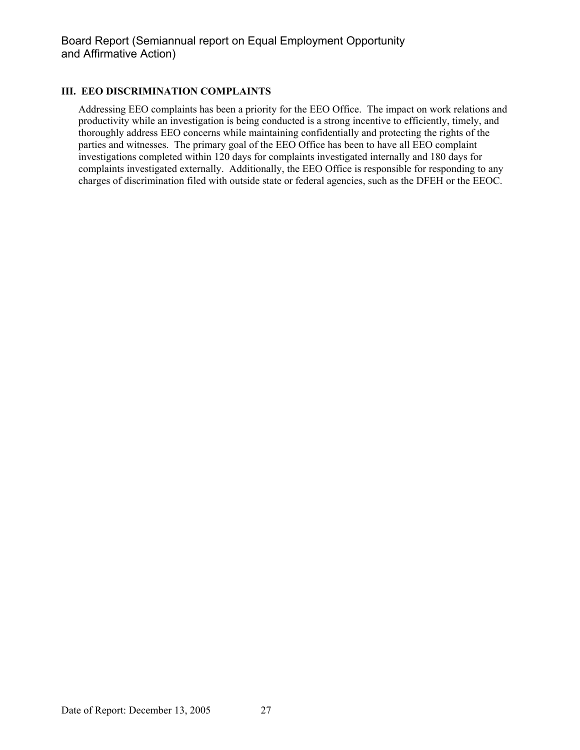#### **III. EEO DISCRIMINATION COMPLAINTS**

Addressing EEO complaints has been a priority for the EEO Office. The impact on work relations and productivity while an investigation is being conducted is a strong incentive to efficiently, timely, and thoroughly address EEO concerns while maintaining confidentially and protecting the rights of the parties and witnesses. The primary goal of the EEO Office has been to have all EEO complaint investigations completed within 120 days for complaints investigated internally and 180 days for complaints investigated externally. Additionally, the EEO Office is responsible for responding to any charges of discrimination filed with outside state or federal agencies, such as the DFEH or the EEOC.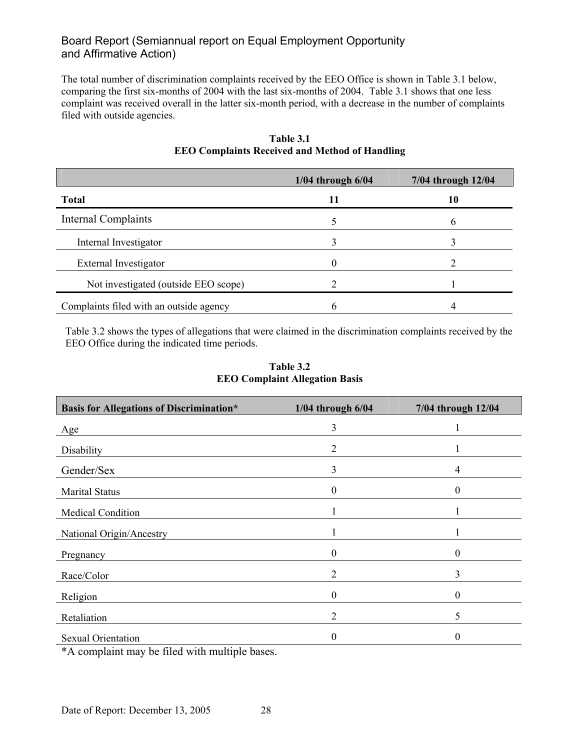The total number of discrimination complaints received by the EEO Office is shown in Table 3.1 below, comparing the first six-months of 2004 with the last six-months of 2004. Table 3.1 shows that one less complaint was received overall in the latter six-month period, with a decrease in the number of complaints filed with outside agencies.

|                                         | $1/04$ through $6/04$ | 7/04 through 12/04 |
|-----------------------------------------|-----------------------|--------------------|
| <b>Total</b>                            | 11                    | 10                 |
| <b>Internal Complaints</b>              |                       |                    |
| Internal Investigator                   |                       |                    |
| External Investigator                   | 0                     |                    |
| Not investigated (outside EEO scope)    |                       |                    |
| Complaints filed with an outside agency | h                     |                    |

### **Table 3.1 EEO Complaints Received and Method of Handling**

Table 3.2 shows the types of allegations that were claimed in the discrimination complaints received by the EEO Office during the indicated time periods.

| <b>Basis for Allegations of Discrimination*</b> | $1/04$ through $6/04$ | 7/04 through 12/04 |
|-------------------------------------------------|-----------------------|--------------------|
| Age                                             | 3                     |                    |
| Disability                                      | $\overline{2}$        |                    |
| Gender/Sex                                      | 3                     | 4                  |
| <b>Marital Status</b>                           | $\boldsymbol{0}$      | $\boldsymbol{0}$   |
| Medical Condition                               |                       |                    |
| National Origin/Ancestry                        |                       |                    |
| Pregnancy                                       | $\theta$              | $\theta$           |
| Race/Color                                      | 2                     | 3                  |
| Religion                                        | 0                     | $\theta$           |
| Retaliation                                     | 2                     | 5                  |
| <b>Sexual Orientation</b>                       | 0                     | $\theta$           |

#### **Table 3.2 EEO Complaint Allegation Basis**

\*A complaint may be filed with multiple bases.